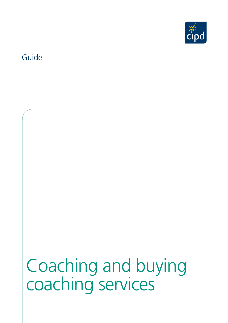

### Guide

# Coaching and buying coaching services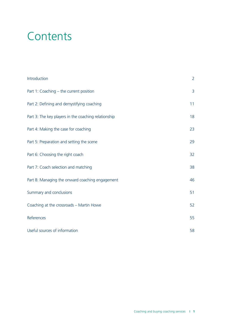# **Contents**

| Introduction                                         | $\overline{2}$ |
|------------------------------------------------------|----------------|
| Part 1: Coaching - the current position              | 3              |
| Part 2: Defining and demystifying coaching           | 11             |
| Part 3: The key players in the coaching relationship | 18             |
| Part 4: Making the case for coaching                 | 23             |
| Part 5: Preparation and setting the scene            | 29             |
| Part 6: Choosing the right coach                     | 32             |
| Part 7: Coach selection and matching                 | 38             |
| Part 8: Managing the onward coaching engagement      | 46             |
| Summary and conclusions                              | 51             |
| Coaching at the crossroads - Martin Howe             | 52             |
| References                                           | 55             |
| Useful sources of information                        | 58             |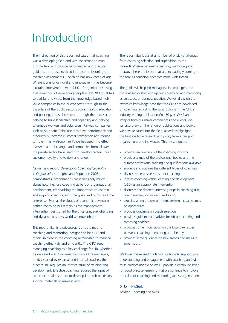### Introduction

 The first edition of this report indicated that coaching was a developing field and was concerned to map out the field and provide hard-headed and practical guidance for those involved in the commissioning of coaching assignments. Coaching has now come of age. Where it was once novel and innovative, it has become it as a method of developing people (CIPD 2008b). It has big pillars of the public sector, such as health, education and policing. It has also spread through the third sector, helping to build leadership and capability and helping to engage workers and volunteers. Railway companies a routine intervention, with 71% of organisations using spread far and wide, from the knowledge-based highvalue companies in the private sector through to the such as Southern Trains use it to drive performance and productivity, increase customer satisfaction and reduce turnover. The Metropolitan Police has used it to effect massive cultural change, and companies from all over the private sector have used it to develop careers, build customer loyalty and to deliver change.

 about how they use coaching as part of organisational development, emphasising the importance of context enterprise. Even as the clouds of economic downturn and dynamic business world we now inhabit. As our new report, *Developing Coaching Capability in Organisations* (Knights and Poppleton 2008), demonstrates, organisations are increasingly mindful and aligning coaching with the goals and purpose of the gather, coaching will remain as the management intervention best suited for the uncertain, ever-changing

 This report, like its predecessor, is a route map for coaching and mentoring, designed to help HR and others involved in the coaching relationship to manage coaching effectively and efficiently. The CIPD sees it's delivered – as it increasingly is – via line managers, or kick-started by external and internal coaches, the development. Effective coaching requires the input of managing coaching as a key challenge for HR, whether practice still requires an infrastructure of training and expert external resources to develop it, and it needs key support materials to make it work.

 The report also looks at a number of prickly challenges, 'boundary' issue between coaching, mentoring and from coaching selection and supervision to the therapy; these are issues that are increasingly coming to the fore as coaching becomes more widespread.

 The guide will help HR managers, line managers and those at senior level engage with coaching and mentoring industry-leading publication *Coaching at Work* and insights from our major conferences and events. We will also draw on the range of publications and books we have released into the field, as well as highlight as an aspect of business practice. We will draw on the extensive knowledge base that the CIPD has developed on coaching, including the contributions in the CIPD's the best available research and policy from a range of organisations and individuals. This revised guide:

- provides an overview of the coaching industry
- $\bullet$ provides a map of the professional bodies and the current professional training and qualifications available
- explains and outlines the different types of coaching
- discusses the business case for coaching
- locates coaching within learning and development (L&D) as an appropriate intervention
- discusses the different interest groups in coaching (HR, line managers, individuals, and so on)
- explains when the use of internal/external coaches may be appropriate
- provides guidance on coach selection
- provides guidance and advice for HR on recruiting and matching coaches
- provides some information on the boundary issues between coaching, mentoring and therapy
- provides some guidance on new trends and issues in supervision.

 We hope this revised guide will continue to support your understanding and engagement with coaching and will – as its predecessor did so well – provide a continued lever for good practice, ensuring that we continue to improve the value of coaching and mentoring across organisations.

Dr John McGurk Adviser; Coaching and Skills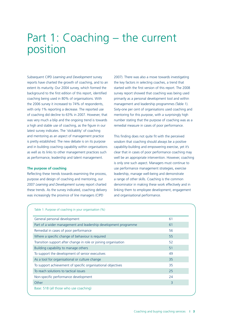### Part 1: Coaching – the current position

 Subsequent CIPD *Learning and Development* survey reports have charted the growth of coaching, and to an extent its maturity. Our 2004 survey, which formed the background to the first edition of this report, identified coaching being used in 80% of organisations. With the 2006 survey it increased to 74% of respondents, with only 1% reporting a decrease. The reported use a high and stable use of coaching, as the figure in our latest survey indicates. The 'stickablity' of coaching and mentoring as an aspect of management practice is pretty established. The new debate is on its purpose and in building coaching capability within organisations as well as its links to other management practices such of coaching did decline to 63% in 2007. However, that was very much a blip and the ongoing trend is towards as performance, leadership and talent management.

#### **The purpose of coaching**

 Reflecting these trends towards examining the process, purpose and design of coaching and mentoring, our 2007 *Learning and Development* survey report charted these trends. As the survey indicated, coaching delivery was increasingly the province of line managers (CIPD

 2007). There was also a move towards investigating the key factors in selecting coaches, a trend that started with the first version of this report. The 2008 survey report showed that coaching was being used primarily as a personal development tool and within management and leadership programmes (Table 1). mentoring for this purpose, with a surprisingly high number stating that the purpose of coaching was as a remedial measure in cases of poor performance. Sixty-one per cent of organisations used coaching and

 This finding does not quite fit with the perceived clear that in cases of poor performance coaching may well be an appropriate intervention. However, coaching is only one such aspect. Managers must continue to use performance management strategies, exercise leadership, manage well-being and demonstrate a range of other skills. Coaching is the common denominator in making these work effectively and in wisdom that coaching should always be a positive capability-building and empowering exercise, yet it's linking them to employee development, engagement and organisational performance.

| General personal development                                    | 61 |
|-----------------------------------------------------------------|----|
| Part of a wider management and leadership development programme | 61 |
| Remedial in cases of poor performance                           | 56 |
| Where a specific change of behaviour is required                | 55 |
| Transition support after change in role or joining organisation | 52 |
| Building capability to manage others                            | 51 |
| To support the development of senior executives                 | 49 |
| As a tool for organisational or culture change                  | 35 |
| To support achievement of specific organisational objectives    | 35 |
| To reach solutions to tactical issues                           | 25 |
| Non-specific performance development                            | 24 |
| Other                                                           | 3  |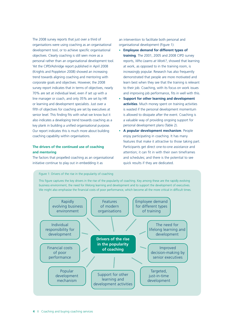organisations were using coaching as an organisational personal rather than an organisational development tool. trend towards aligning coaching and mentoring with survey report indicates that in terms of objectives, nearly 70% are set at individual level, even if set up with a senior level. This finding fits with what we know but it Our report indicates this is much more about building The 2008 survey reports that just over a third of development tool, or to achieve specific organisational objectives. Clearly coaching is still seen more as a Yet the CIPD/Ashridge report published in April 2008 (Knights and Poppleton 2008) showed an increasing corporate goals and objectives. However, the 2008 line manager or coach, and only 35% are set by HR or learning and development specialists. Just over a fifth of objectives for coaching are set by executives at also indicates a developing trend towards coaching as a key plank in building a unified organisational purpose. coaching capability within organisations.

#### **The drivers of the continued use of coaching and mentoring**

 The factors that propelled coaching as an organisational initiative continue to play out in embedding it as

 an intervention to facilitate both personal and organisational development (Figure 1):

- • **Employee demand for different types of training**. The 2001, 2005 and 2008 CIPD survey reports, *Who Learns at Work?*, showed that learning at work, as opposed to in the training room, is increasingly popular. Research has also frequently demonstrated that people are more motivated and learn best when they see that the training is relevant and improving job performance, fits in well with this. to their job. Coaching, with its focus on work issues
- • **Support for other learning and development activities**. Much money spent on training activities is wasted if the personal development momentum is allowed to dissipate after the event. Coaching is a valuable way of providing ongoing support for personal development plans (Table 2).
- A popular development mechanism. People enjoy participating in coaching. It has many features that make it attractive to those taking part. Participants get direct one-to-one assistance and attention; it can fit in with their own timeframes and schedules; and there is the potential to see quick results if they are dedicated.

Figure 1: Drivers of the rise in the popularity of coaching

 business environment, the need for lifelong learning and development and to support the development of executives. This figure captures the key drivers in the rise of the popularity of coaching. Key among these are the rapidly evolving We might also emphasise the financial costs of poor performance, which become all the more critical in difficult times.

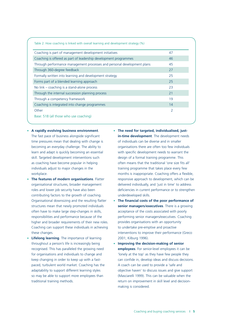| Table 2: How coaching is linked with overall learning and development strategy (%) |    |
|------------------------------------------------------------------------------------|----|
| Coaching is part of management development initiatives                             | 47 |
| Coaching is offered as part of leadership development programmes                   | 46 |
| Through performance management processes and personal development plans            | 45 |
| Through 360-degree feedback                                                        | 27 |
| Formally written into learning and development strategy                            | 25 |
| Forms part of a blended learning approach                                          | 25 |
| No $link$ – coaching is a stand-alone process                                      | 23 |
| Through the internal succession planning process                                   | 21 |
| Through a competency framework                                                     | 19 |
| Coaching is integrated into change programmes                                      | 14 |
| Other                                                                              | 2  |
| Base: 518 (all those who use coaching)                                             |    |

- **A rapidly evolving business environment**. The fast pace of business alongside significant time pressures mean that dealing with change is of individuals can be diverse and in smaller skill. Targeted development interventions such design of a formal training programme. This
- **The features of modern organisations**. Flatter organisational structures, broader management contributing factors to the growth of coaching. Organisational downsizing and the resulting flatter structures mean that newly promoted individuals often have to make large step-changes in skills, acceptance of the costs associated with poorly higher and broader requirements of their new roles. provides organisations with an opportunity Coaching can support these individuals in achieving to undertake pre-emptive and proactive these changes.
- **Lifelong learning**. The importance of learning throughout a person's life is increasingly being recognised. This has paralleled the growing need paced, turbulent world market. Coaching has the A coach can be used to provide a 'safe and
- **The need for targeted, individualised, justin-time development**. The development needs becoming an everyday challenge. The ability to organisations there are often too few individuals learn and adapt is quickly becoming an essential with specific development needs to warrant the as coaching have become popular in helping often means that the traditional 'one size fits all' individuals adjust to major changes in the training programme that takes place every few workplace. months is inappropriate. Coaching offers a flexible, responsive approach to development, which can be delivered individually, and 'just in time' to address roles and lower job security have also been deficiencies in current performance or to strengthen underdeveloped skills.
- **The financial costs of the poor performance of senior managers/executives**. There is a growing responsibilities and performance because of the performing senior managers/executives. Coaching interventions to improve their performance (Greco 2001; Kilburg 1996).
- **Improving the decision-making of senior employees**. For senior-level employees it can be for organisations and individuals to change and  $\qquad$  'lonely at the top' as they have few people they keep changing in order to keep up with a fast- can confide in, develop ideas and discuss decisions. adaptability to support different learning styles objective haven' to discuss issues and give support so may be able to support more employees than (Masciarelli 1999). This can be valuable when the traditional training methods. The return on improvement in skill level and decisionmaking is considered.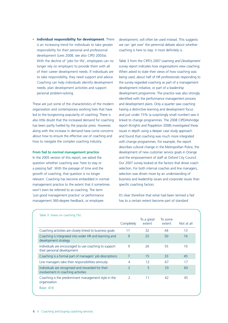• **Individual responsibility for development**. There is an increasing trend for individuals to take greater responsibility for their personal and professional development (Lees 2008; see also CIPD 2003a). With the decline of 'jobs for life', employees can no longer rely on employers to provide them with all of their career development needs. If individuals are to take responsibility, they need support and advice. Coaching can help individuals identify development needs, plan development activities and support personal problem-solving.

 These are just some of the characteristics of the modern led to the burgeoning popularity of coaching. There is also little doubt that the increased demand for coaching has been partly fuelled by the popular press. However, along with the increase in demand have come concerns how to navigate the complex coaching industry. organisation and contemporary working lives that have about how to ensure the effective use of coaching and

#### **From fad to normal management practice**

 question whether coaching was 'here to stay or growth of coaching, that question is no longer management practice to the extent that it sometimes won't even be referred to as coaching. The term 'just good management practice' or performance management 360-degree feedback, or employee In the 2005 version of this report, we asked the a passing fad'. With the passage of time and the relevant. Coaching has become embedded in normal

 development, will often be used instead. This suggests we can 'get over' the perennial debate about whether coaching is here to stay: it most definitely is.

 survey report indicates how organisations view coaching. When asked to state their views of how coaching was being used, about half of HR professionals responding to development initiative, or part of a leadership development programme. The practice was also strongly identified with the performance management process and development plans. Only a quarter saw coaching having a distinctive learning and development focus linked to change programmes. The 2008 CIPD/Ashridge report (Knights and Poppleton 2008) investigated these issues in depth using a deeper case study approach and found that coaching was much more integrated with change programmes. For example, the report development of new customer service goals in Orange Our 2007 survey looked at the factors that drove coach selection was driven more by an understanding of business and leadership issues and corporate issues than Table 3 from the CIPD's 2007 *Learning and Development*  the survey regarded coaching as part of a management and just under 15% (a surprisingly small number) saw it describes cultural change in the Metropolitan Police, the and the empowerment of staff at Oxford City Council. selection. For both internal coaches and line managers, specific coaching factors.

 has to a certain extent become part of standard It's clear therefore that what had been termed a fad

| Table 3: Views on coaching (%)                                                          |                          |                      |                   |            |
|-----------------------------------------------------------------------------------------|--------------------------|----------------------|-------------------|------------|
|                                                                                         | Completely               | To a great<br>extent | To some<br>extent | Not at all |
| Coaching activities are closely linked to business goals                                | 11                       | 32                   | 44                | 13         |
| Coaching is integrated into wider HR and learning and<br>development strategy           | 9                        | 25                   | 50                | 16         |
| Individuals are encouraged to use coaching to support<br>their personal development     | 9                        | 26                   | 55                | 10         |
| Coaching is a formal part of managers' job descriptions                                 | 7                        | 15                   | 33                | 45         |
| Line managers take their responsibilities seriously                                     | $\overline{4}$           | 12                   | 67                | 17         |
| Individuals are recognised and rewarded for their<br>involvement in coaching activities | $\overline{2}$           | 5                    | 33                | 60         |
| Coaching is the predominant management style in the<br>organisation                     | $\overline{\phantom{a}}$ | 11                   | 42                | 45         |
| Base: 416                                                                               |                          |                      |                   |            |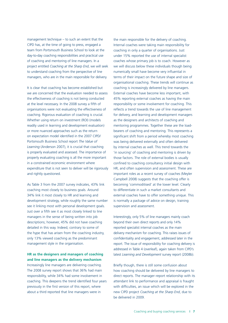management technique – to such an extent that the CIPD has, at the time of going to press, engaged a team from Portsmouth Business School to look at the day-to-day coaching responsibilities and practical use project entitled *Coaching at the Sharp End*, we will seek to understand coaching from the perspective of line of coaching and mentoring of line managers. In a managers, who are in the main responsible for delivery.

 It is clear that coaching has become established but we are concerned that the evaluation needed to assess the effectiveness of coaching is not being conducted at the level necessary. In the 2008 survey a fifth of organisations were not evaluating the effectiveness of coaching. Rigorous evaluation of coaching is crucial. Whether using return on investment (ROI) (models readily used in learning and development evaluation) or more nuanced approaches such as the return  Portsmouth Business School report *The Value of Learning* (Anderson 2007), it is crucial that coaching is properly evaluated and assessed. The importance of properly evaluating coaching is all the more important in a constrained economic environment where expenditure that is not seen to deliver will be rigorously on expectation model identified in the 2007 CIPD/ and rightly questioned.

As Table 3 from the 2007 survey indicates, 43% link coaching most closely to business goals. Around 34% link it most closely to HR and learning and development strategy, while roughly the same number see it linking most with personal development goals. Just over a fifth see it as most closely linked to line managers in the sense of being written into job descriptions; however, 45% did not have coaching detailed in this way. Indeed, contrary to some of the hype that has arisen from the coaching industry, only 13% viewed coaching as the predominant management style in the organisation.

#### **HR as the designers and managers of coaching and line managers as the delivery mechanism**

Increasingly line managers are delivering coaching. The 2008 survey report shows that 36% had main responsibility, while 34% had some involvement in coaching. This deepens the trend identified four years previously in the first version of this report, where about a third reported that line managers were in

the main responsible for the delivery of coaching. Internal coaches were taking main responsibility for coaching in only a quarter of organisations. Just under 15% reported the use of internal specialist coaches whose primary job is to coach. However as we will discuss below these individuals though being numerically small have become very influential in terms of their impact on the future shape and size of organisational coaching. These trends will continue as coaching is increasingly delivered by line managers. External coaches have become less important, with 45% reporting external coaches as having the main responsibility or some involvement for coaching. This reflects a trend towards the use of line management for delivery, and learning and development managers as the designers and architects of coaching and mentoring programmes. Together these are the loadbearers of coaching and mentoring. This represents a significant shift from a period whereby most coaching was being delivered externally and often delivered by internal coaches as well. This trend towards the 'in sourcing' of coaching and mentoring is driven by those factors. The role of external bodies is usually confined to coaching consultancy initial design with HR, and often supervision and assessment. These are important roles as a recent survey of coaches (Meyler Campbell 2008) suggests that the coaching offer is becoming 'commoditised' at the lower level. Clearly to differentiate in such a market consultants and external coaches have to offer something unique. This is normally a package of advice on design, training supervision and assessment.

 Interestingly, only 5% of line managers mainly coach delivery mechanism for coaching. This raises issues of confidentiality and engagement, addressed later in the report. The issue of responsibility for coaching delivery is addressed in Table 4 (overleaf), again taken from CIPD's beyond their own direct reports and only 14% reported specialist internal coaches as the main latest *Learning and Development* survey report (2008b).

Briefly though, there is still some confusion about how coaching should be delivered by line managers to direct reports. The manager–report relationship with its attendant link to performance and appraisal is fraught with difficulties, an issue which will be explored in the new CIPD project *Coaching at the Sharp End*, due to be delivered in 2009.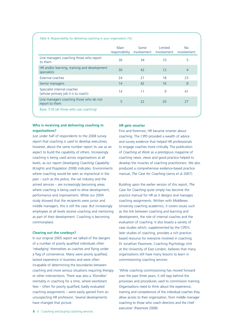|                                                                   | Main<br>responsibility | Some<br>involvement | Limited<br>involvement | N <sub>o</sub><br>involvement |
|-------------------------------------------------------------------|------------------------|---------------------|------------------------|-------------------------------|
| Line managers coaching those who report<br>to them                | 36                     | 34                  | 10                     | 5                             |
| HR and/or learning, training and development<br>specialists       | 30                     | 42                  | 12                     | 4                             |
| External coaches                                                  | 24                     | 21                  | 18                     | 23                            |
| Senior managers                                                   | 14                     | 42                  | 16                     | 8                             |
| Specialist internal coaches<br>(whose primary job it is to coach) | 14                     | 11                  | 9                      | 41                            |
| Line managers coaching those who do not<br>report to them         | 5                      | 22                  | 20                     | 27                            |

#### **Who is receiving and delivering coaching in organisations?**

Just under half of respondents to the 2008 survey report that coaching is used to develop executives; however, about the same number report its use as an aspect to build the capability of others. Increasingly coaching is being used across organisations at all levels, as our report *Developing Coaching Capability*  (Knights and Poppleton 2008) indicates. Environments where coaching would be seen as impractical in the past – such as the police, the rail industry and the armed services – are increasingly becoming areas where coaching is being used to drive development, performance and improvement. While our 2004 study showed that the recipients were junior and middle managers, this is still the case. But increasingly employees at all levels receive coaching and mentoring as part of their development. Coaching is becoming commonplace.

#### **Clearing out the cowboys?**

In our original 2005 report we talked of the dangers of a number of poorly qualified individuals often 'rebadging' themselves as coaches and flying under a flag of convenience. Many were poorly qualified, lacked experience in business and were often incapable of determining the boundaries between coaching and more serious situations requiring therapy or other interventions. There was also a 'Klondike' mentality in coaching for a time, where exorbitant fees – often for poorly qualified, badly evaluated coaching assignments – were easily gained from an unsuspecting HR profession. Several developments have changed that picture.

#### **HR gets smarter**

First and foremost, HR became smarter about coaching. The CIPD provided a wealth of advice and survey evidence that helped HR professionals to engage coaches more critically. The publication of *Coaching at Work* as a prestigious magazine of coaching news, views and good practice helped to develop the muscles of coaching practitioners. We also produced a comprehensive evidence-based practice manual, *The Case for Coaching* (Jarvis et al 2007).

Building upon the earlier version of this report, *The Case for Coaching* quite simply has become the practice manual for HR as it designs and manages coaching assignments. Written with Middlesex University coaching academics, it covers issues such as the link between coaching and learning and development, the role of internal coaches and the evaluation of coaching. It also boasts a variety of case studies which, supplemented by the CIPD's later studies of coaching, provides a rich practicebased resource for everyone involved in coaching. Dr Jonathan Passmore, Coaching Psychology Unit at the University of East London, believes that many organisations still have many lessons to learn in commissioning coaching services:

 Organisations need to think about the experience, training and competences of the individual coaches they coaching to those who coach directors and the chief 'While coaching commissioning has moved forward over the past three years, it still lags behind the processes and procedures used to commission training. allow access to their organisation, from middle manager executive' (Passmore 2008).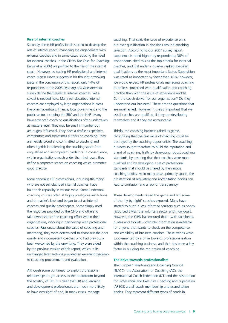#### **Rise of internal coaches**

 (Jarvis et al 2006) we pointed to the rise of the internal coach Martin Howe suggests in his thought-provoking piece in the conclusion of this report, only 14% of caveat is needed here. Many self-described internal public sector, including the BBC and the NHS. Many have advanced coaching qualifications often undertaken at master's level. They may be small in number but are hugely influential. They have a profile as speakers, are fiercely proud and committed to coaching and often tigerish in defending the coaching space from unqualified and incompetent predators. In consequence, Secondly, these HR professionals started to develop the role of internal coach, managing the engagement with external coaches and in some cases reducing the need for external coaches. In the CIPD's *The Case for Coaching*  coach. However, as leading HR professional and internal respondents to the 2008 *Learning and Development*  survey define *themselves* as internal coaches. Yet a coaches are employed by large organisations in areas like pharmaceuticals, finance, local government and the contributors and sometimes authors on coaching. They within organisations much wider than their own, they define a corporate stance on coaching which promotes good practice.

 More generally, HR professionals, including the many built their capability in various ways. Some undertook and at master's level and began to act as internal coaches and quality gatekeepers. Some simply used take ownership of the coaching effort within their organisations, working in partnership with professional coaches. Passionate about the value of coaching and quality and incompetent coaches who had previously been welcomed by the unwitting. They were aided by the previous version of this report, which in its unchanged later sections provided an excellent roadmap to coaching procurement and evaluation. who are not self-desribed internal coaches, have coaching courses often at highly prestigious institutions the resources provided by the CIPD and others to mentoring, they were determined to chase out the poor

Although some continued to exploit professional relationships to get access to the boardroom beyond the scrutiny of HR, it is clear that HR and learning and development professionals are much more likely to have oversight of and, in many cases, manage

coaching. That said, the issue of experience wins out over qualification in decisions around coaching selection. According to our 2007 survey report, experience is rated higher by respondents; 36% of respondents cited this as the top criteria for external coaches, and just under a quarter ranked specialist qualifications as the most important factor. Supervision was rated as important by fewer than 10%; however, we would expect HR professionals managing coaching to be less concerned with qualification and coaching practice than with the issue of experience and fit. Can the coach deliver for our organisation? Do they understand our business? These are the questions that are most asked. However, it is also important that we ask if coaches are qualified, if they are developing themselves and if they are accountable.

 Thirdly, the coaching business raised its game, recognising that the real value of coaching could be destroyed by the coaching opportunists. The coaching brand of coaching, firstly by developing robust coaching standards, by ensuring that their coaches were more qualified and by developing a set of professional standards that should be shared by the various coaching bodies. As in many areas, primarily sports, the proliferation of regulatory and accreditation bodies can lead to confusion and a lack of transparency. business sought therefore to build the reputation and

These developments raised the game and left some of the 'fly by night' coaches exposed. Many have started to hunt in less informed territory such as poorly resourced SMEs, the voluntary sector and individuals. However, the CIPD has ensured that – with factsheets, guides and toolkits – credible information is available for anyone that wants to check on the competence and credibility of business coaches. These trends were supplemented by a drive towards professionalisation within the coaching business, and that has been a key factor in building the reputation of coaching.

#### **The drive towards professionalism**

 The European Mentoring and Coaching Council (EMCC), the Association for Coaching (AC), the International Coach Federation (ICF) and the Association for Professional and Executive Coaching and Supervision (APECS) are all coach membership and accreditation bodies. They represent different types of coach in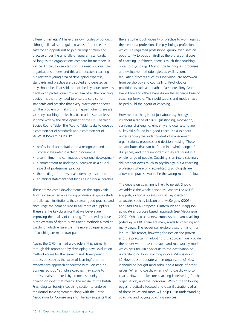different markets. All have their own codes of conduct, although like all self-regulated areas of practice, it's easy for an opportunist to join an organisation and practice under the umbrella of apparent standards. As long as the organisations compete for members, it will be difficult to keep tabs on the unscrupulous. The organisations understand this and, because coaching is a relatively young area of developing expertise, standards and practice are disputed and debated as they should be. That said, one of the key issues towards developing professionalism – an aim of all the coaching bodies – is that they need to ensure a core set of standards and practice that every practitioner adheres to. The problem of making this happen when there are so many coaching bodies has been addressed at least in some way by the development of the UK Coaching Bodies Round Table. The 'Round Table' seeks to develop a common set of standards and a common set of values. It looks at issues like:

- professional accreditation on a recognised and properly evaluated coaching programme
- a commitment to continuous professional development
- a commitment to undergo supervision as a crucial aspect of professional practice
- the holding of professional indemnity insurance
- an ethical statement that binds all individual coaches.

 These are welcome developments on the supply side. encourage the demand side to ask more of suppliers. These are the key dynamics that we believe are improving the quality of coaching. The other key issue is the creation of rigorous evaluation methods aimed at coaching, which ensure that the more opaque aspects And it's clear when an aspiring professional group starts to build such institutions, they spread good practice and of coaching are made transparent.

 through this report and by developing novel evaluation methodologies for the learning and development profession, such as the value of learning/return on expectations approach conducted with Portsmouth Business School. Yet, while coaches may aspire to opinion on what that means. The refusal of the British Psychological Society's coaching section to endorse Again, the CIPD has had a big role in this, primarily professionalism, there is by no means a unity of the Round Table agreement along with the British Association for Counselling and Therapy suggests that

 there is still enough diversity of practice to work against opportunity to position itself as the professional core and evaluative methodologies, as well as some of the regulating practices such as supervision, are borrowed from psychology and counselling. Psychological practitioners such as Jonathan Passmore, Tony Grant, David Lane and others have driven the evidence base of coaching forward. Their publications and models have the ideal of a profession. The psychology profession, which is a regulated professional group, even sees an of coaching. In fairness, there is much that coaching owes to psychology. Most of the techniques, processes helped build the rigour of coaching.

 However, coaching is not just about psychology; it's about a range of skills. Questioning, motivation, understanding the wider context of management organisations, processes and decision-making. These are attributes that can be found in a whole range of whole range of people. Coaching is an interdisciplinary skill-set that owes much to psychology, but a coaching profession where only accredited psychologists are clarifying, challenging, empathy and goal-setting are all key skills found in a good coach. It's also about disciplines, and more importantly they are found in a allowed to practise would be the wrong road to follow.

 The debate on coaching is likely to persist. Should suggests, or focus on solutions as key coaching advocates such as Jackson and McKergow (2005) and Starr (2007) propose. Clutterbuck and Meggison advocate a 'purpose based' approach (see Megginson 2007). Others place a new emphasis on team coaching many views. The reader can explore these at his or her we address the whole person as Graham Lee (2003) (Whiteley 2008). There are many roads to coaching and leisure. This report, however, focuses on the proven and the practical. In adopting this approach we provide the reader with a basic, reliable and roadworthy model which gets the HR specialists to the destination of understanding how coaching works. Who is doing it? How does it operate within organisations? How it should be bought (and sold), and a range of other issues. When to coach, when not to coach, who to coach. How to make sure coaching is delivering for the organisation, and the individual. Within the following pages, practically focused and clear illustrations of all of these issues and more will help HR in understanding coaching and buying coaching services.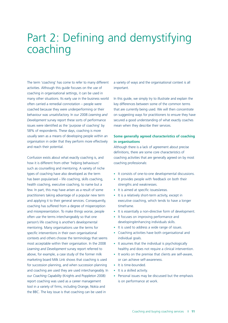### Part 2: Defining and demystifying coaching

 The term 'coaching' has come to refer to many different coaching in organisational settings, it can be used in many other situations. Its early use in the business world often carried a remedial connotation – people were coached because they were underperforming or their *Development* survey report these sorts of performance issues were identified as the 'purpose of coaching' by usually seen as a means of developing people within an organisation in order that they perform more effectively activities. Although this guide focuses on the use of behaviour was unsatisfactory. In our 2008 *Learning and*  58% of respondents. These days, coaching is more and reach their potential.

 Confusion exists about what exactly coaching is, and how it is different from other 'helping behaviours' types of coaching have also developed as the term has been popularised – life coaching, skills coaching, health coaching, executive coaching, to name but a few. In part, this may have arisen as a result of some practitioners taking advantage of a popular new term and applying it to their general services. Consequently, coaching has suffered from a degree of misperception and misrepresentation. To make things worse, people often use the terms interchangeably so that one person's life coaching is another's developmental mentoring. Many organisations use the terms for specific interventions in their own organisational most acceptable within their organisation. In the 2008 *Learning and Development* survey report referred to above, for example, a case study of the former milk and coaching are used they are used interchangeably. In our *Coaching Capability* (Knights and Poppleton 2008) report coaching was used as a career management tool in a variety of firms, including Orange, Nokia and the BBC. The key issue is that coaching can be used in such as counselling and mentoring. A variety of niche contexts and others choose the terminology that seems marketing board Milk Link shows that coaching is used for succession planning, and when succession planning

 a variety of ways and the organisational context is all important.

 In this guide, we simply try to illustrate and explain the that are currently being used. We will then concentrate on suggesting ways for practitioners to ensure they have secured a good understanding of what exactly coaches mean when they describe their services. key differences between some of the common terms

#### **Some generally agreed characteristics of coaching in organisations**

 Although there is a lack of agreement about precise definitions, there are some core characteristics of coaching activities that are generally agreed on by most coaching professionals:

- It consists of one-to-one developmental discussions.
- It provides people with feedback on both their strengths and weaknesses.
- It is aimed at specific issues/areas.
- It is a relatively short-term activity, except in executive coaching, which tends to have a longer timeframe.
- It is essentially a non-directive form of development.
- It focuses on improving performance and developing/enhancing individuals skills.
- It is used to address a wide range of issues.
- $\bullet$ Coaching activities have both organisational and individual goals.
- It assumes that the individual is psychologically healthy and does not require a clinical intervention.
- It works on the premise that clients are self-aware, or can achieve self-awareness.
- It is time-bounded.
- • It is a skilled activity.
- $\bullet$ Personal issues may be discussed but the emphasis is on performance at work.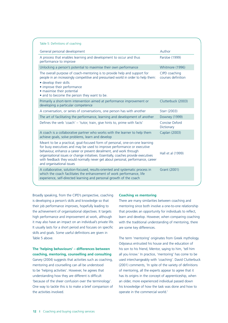| Table 5: Definitions of coaching                                                                                                                                                                                                                                                                                                                                                                                                      |                                     |
|---------------------------------------------------------------------------------------------------------------------------------------------------------------------------------------------------------------------------------------------------------------------------------------------------------------------------------------------------------------------------------------------------------------------------------------|-------------------------------------|
| General personal development                                                                                                                                                                                                                                                                                                                                                                                                          | Author                              |
| A process that enables learning and development to occur and thus<br>performance to improve                                                                                                                                                                                                                                                                                                                                           | Parsloe (1999)                      |
| Unlocking a person's potential to maximise their own performance                                                                                                                                                                                                                                                                                                                                                                      | Whitmore (1996)                     |
| The overall purpose of coach-mentoring is to provide help and support for<br>people in an increasingly competitive and pressurised world in order to help them:<br>· develop their skills<br>• improve their performance<br>· maximise their potential<br>• and to become the person they want to be.                                                                                                                                 | CIPD coaching<br>courses definition |
| Primarily a short-term intervention aimed at performance improvement or<br>developing a particular competence                                                                                                                                                                                                                                                                                                                         | Clutterbuck (2003)                  |
| A conversation, or series of conversations, one person has with another                                                                                                                                                                                                                                                                                                                                                               | Starr (2003)                        |
| The art of facilitating the performance, learning and development of another                                                                                                                                                                                                                                                                                                                                                          | Downey (1999)                       |
| Defines the verb 'coach' - 'tutor, train, give hints to, prime with facts'                                                                                                                                                                                                                                                                                                                                                            | Concise Oxford<br>Dictionary        |
| A coach is a collaborative partner who works with the learner to help them<br>achieve goals, solve problems, learn and develop                                                                                                                                                                                                                                                                                                        | Caplan (2003)                       |
| Meant to be a practical, goal-focused form of personal, one-on-one learning<br>for busy executives and may be used to improve performance or executive<br>behaviour, enhance a career or prevent derailment, and work through<br>organisational issues or change initiatives. Essentially, coaches provide executives<br>with feedback they would normally never get about personal, performance, career<br>and organisational issues | Hall et al (1999)                   |
| A collaborative, solution-focused, results-oriented and systematic process in<br>which the coach facilitates the enhancement of work performance, life<br>experience, self-directed learning and personal growth of the coach                                                                                                                                                                                                         | Grant (2001)                        |

 Broadly speaking, from the CIPD's perspective, coaching their job performance improves, hopefully leading to the achievement of organisational objectives. It targets high performance and improvement at work, although it may also have an impact on an individual's private life. skills and goals. Some useful definitions are given in is developing a person's skills and knowledge so that It usually lasts for a short period and focuses on specific Table 5 above.

#### **The 'helping behaviours' – differences between coaching, mentoring, counselling and consulting**

 Garvey (2004) suggests that activities such as coaching, mentoring and counselling can all be understood to be 'helping activities'. However, he agrees that understanding how they are different is difficult 'because of the sheer confusion over the terminology'. One way to tackle this is to make a brief comparison of the activities involved.

#### **Coaching vs mentoring**

 mentoring since both involve a one-to-one relationship that provides an opportunity for individuals to reflect, learn and develop. However, when comparing coaching with the traditional understanding of mentoring, there There are many similarities between coaching and are some key differences.

 Odysseus entrusted his house and the education of his son to his friend, Mentor, saying to him, 'tell him all you know.' In practice, 'mentoring' has come to be used interchangeably with 'coaching'. David Clutterbuck (2001) comments, 'In spite of the variety of definitions has its origins in the concept of apprenticeship, when an older, more experienced individual passed down his knowledge of how the task was done and how to The term 'mentoring' originates from Greek mythology. of mentoring, all the experts appear to agree that it operate in the commercial world.'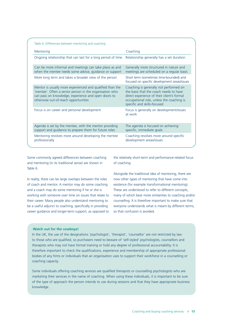| Table 6: Differences between mentoring and coaching                                                                                                                                                                 |                                                                                                                                                                                                            |
|---------------------------------------------------------------------------------------------------------------------------------------------------------------------------------------------------------------------|------------------------------------------------------------------------------------------------------------------------------------------------------------------------------------------------------------|
| Mentoring                                                                                                                                                                                                           | Coaching                                                                                                                                                                                                   |
| Ongoing relationship that can last for a long period of time                                                                                                                                                        | Relationship generally has a set duration                                                                                                                                                                  |
| Can be more informal and meetings can take place as and<br>when the mentee needs some advice, guidance or support                                                                                                   | Generally more structured in nature and<br>meetings are scheduled on a regular basis                                                                                                                       |
| More long term and takes a broader view of the person                                                                                                                                                               | Short term (sometimes time-bounded) and<br>focused on specific development areas/issues                                                                                                                    |
| Mentor is usually more experienced and qualified than the<br>'mentee'. Often a senior person in the organisation who<br>can pass on knowledge, experience and open doors to<br>otherwise out-of-reach opportunities | Coaching is generally not performed on<br>the basis that the coach needs to have<br>direct experience of their client's formal<br>occupational role, unless the coaching is<br>specific and skills-focused |
| Focus is on career and personal development                                                                                                                                                                         | Focus is generally on development/issues<br>at work                                                                                                                                                        |
| Agenda is set by the mentee, with the mentor providing<br>support and guidance to prepare them for future roles                                                                                                     | The agenda is focused on achieving<br>specific, immediate goals                                                                                                                                            |
| Mentoring revolves more around developing the mentee<br>professionally                                                                                                                                              | Coaching revolves more around specific<br>development areas/issues                                                                                                                                         |

Some commonly agreed differences between coaching and mentoring (in its traditional sense) are shown in of coaching. Table 6.

Some commonly agreed differences between coaching the relatively short-term and performance-related focus

of coach and mentor. A mentor may do some coaching existence (for example transformational mentoring). and a coach may do some mentoring if he or she is working with someone over time on issues that relate to their career. Many people also understand mentoring to counselling. It is therefore important to make sure that be a useful adjunct to coaching, specifically in providing career guidance and longer-term support, as opposed to so that confusion is avoided. and a coach may do some mentoring if he or she is These are understood to refer to different concepts, working with someone over time on issues that relate to many of which bear more similarities to coaching and/or be a useful adjunct to coaching, specifically in providing everyone understands what is meant by different terms, In reality, there can be large overlaps between the roles now other types of mentoring that have come into

 Alongside the traditional idea of mentoring, there are existence (for example transformational mentoring). counselling. It is therefore important to make sure that

#### **Watch out for the cowboys!**

In the UK, the use of the designations 'psychologist', 'therapist', 'counsellor' are not restricted by law to those who are qualified, so purchasers need to beware of 'self-styled' psychologists, counsellors and therapists who may not have formal training or hold any degree of professional accountability. It is therefore important to check the qualifications, experience and membership of appropriate professional bodies of any firms or individuals that an organisation uses to support their workforce in a counselling or coaching capacity.

Some individuals offering coaching services are qualified therapists or counselling psychologists who are marketing their services in the name of coaching. When using these individuals, it is important to be sure of the type of approach the person intends to use during sessions and that they have appropriate business knowledge.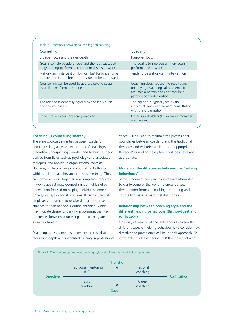| Counselling                                                                                                     | Coaching                                                                                                                                            |
|-----------------------------------------------------------------------------------------------------------------|-----------------------------------------------------------------------------------------------------------------------------------------------------|
| Broader focus and greater depth                                                                                 | Narrower focus                                                                                                                                      |
| Goal is to help people understand the root causes of<br>longstanding performance problems/issues at work        | The goal is to improve an individual's<br>performance at work                                                                                       |
| A short-term intervention, but can last for longer time<br>periods due to the breadth of issues to be addressed | Tends to be a short-term intervention                                                                                                               |
| Counselling can be used to address psycho-social<br>as well as performance issues                               | Coaching does not seek to resolve any<br>underlying psychological problems. It<br>assumes a person does not require a<br>psycho-social intervention |
| The agenda is generally agreed by the individuals<br>and the counsellor                                         | The agenda is typically set by the<br>individual, but in agreement/consultation<br>with the organisation                                            |
| Other stakeholders are rarely involved                                                                          | Other stakeholders (for example manager)<br>are involved                                                                                            |

#### **Coaching vs counselling/therapy**

 There are obvious similarities between coaching and counselling activities, with much of coaching's theoretical underpinnings, models and techniques being therapies, and applied in organisational contexts. However, while coaching and counselling both work within similar areas, they are not the same thing. They can, however, work together in a complementary way in workplace settings. Counselling is a highly skilled intervention focused on helping individuals address underlying psychological problems. It can be useful if employees are unable to resolve difficulties or make changes to their behaviour during coaching, which may indicate deeper underlying problems/issues. Key derived from fields such as psychology and associated differences between counselling and coaching are shown in Table 7.

 Psychological assessment is a complex process that requires in-depth and specialised training. A professional coach will be keen to maintain the professional boundaries between coaching and the traditional therapies and will refer a client to an appropriate therapist/counsellor if they feel it will be useful and appropriate.

#### **Modelling the differences between the 'helping behaviours'**

Some academics and practitioners have attempted to clarify some of the key differences between the common forms of coaching, mentoring and counselling via a series of helpful models.

#### **Relationship between coaching style and the different helping behaviours (Britnor-Guest and Willis 2004)**

One way of looking at the differences between the different types of helping behaviour is to consider how directive the practitioner will be in their approach. To what extent will the person 'tell' the individual what

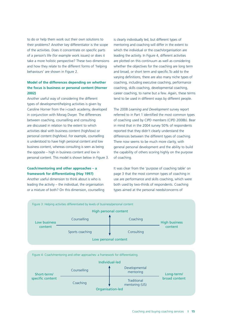to do or help them work out their own solutions to their problems? Another key differentiator is the scope of the activities. Does it concentrate on specific parts of a person's life (for example work issues) or does it take a more holistic perspective? These two dimensions and how they relate to the different forms of 'helping behaviours' are shown in Figure 2.

#### **Model of the differences depending on whether the focus is business or personal content (Horner 2002)**

 personal content (high/low). For example, counselling is understood to have high personal content and low business content, whereas consulting is seen as being the opposite – high in business content and low in personal content. This model is shown below in Figure 3. Another useful way of considering the different types of development/helping activities is given by Caroline Horner from the i-coach academy, developed in conjunction with Morag Dwyer. The differences between coaching, counselling and consulting are discussed in relation to the extent to which activities deal with business content (high/low) or

#### **Coach/mentoring and other approaches – a framework for differentiating (Hay 1997)**

 Another useful dimension to think about is who is or a mixture of both? On this dimension, counselling leading the activity – the individual, the organisation

 is clearly individually led, but different types of mentoring and coaching will differ in the extent to which the individual or the coach/organisation are are plotted on this continuum as well as considering whether the objectives for the coaching are long term and broad, or short term and specific.To add to the coaching, including executive coaching, performance coaching, skills coaching, developmental coaching, career coaching, to name but a few. Again, these terms tend to be used in different ways by different people. leading the activity. In Figure 4, different activities varying definitions, there are also many niche types of

The 2008 *Learning and Development* survey report referred to in Part 1 identified the most common types of coaching used by CIPD members (CIPD 2008b). Bear in mind that in the 2004 survey 50% of respondents reported that they didn't clearly understand the differences between the different types of coaching. There now seems to be much more clarity, with general personal development and the ability to build the capability of others scoring highly on the purpose of coaching.

It was clear from the 'purpose of coaching table' on page 3 that the most common types of coaching in use are performance and skills coaching, which were both used by two-thirds of respondents. Coaching types aimed at the personal needs/concerns of

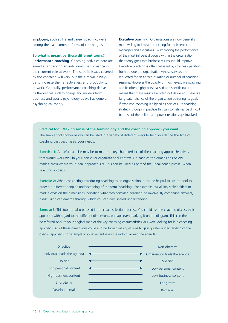employees, such as life and career coaching, were among the least common forms of coaching used.

 **Performance coaching**. Coaching activities here are aimed at enhancing an individual's performance in their current role at work. The specific issues covered by the coaching will vary, but the aim will always be to increase their effectiveness and productivity its theoretical underpinnings and models from business and sports psychology as well as general **So what is meant by these different terms?**  at work. Generally, performance coaching derives psychological theory.

**Executive coaching**. Organisations are now generally more willing to invest in coaching for their senior managers and executives. By improving the performance of the most influential people within the organisation, the theory goes that business results should improve. Executive coaching is often delivered by coaches operating from outside the organisation whose services are sessions. However the opacity of much executive coaching means that these results are often not delivered. There is a far greater chance of the organisation achieving its goals strategy, though in practice this can sometimes be difficult requested for an agreed duration or number of coaching and its often highly personalised and specific nature, if executive coaching is aligned as part of HR's coaching because of the politics and power relationships involved.

#### **Practical tool: Making sense of the terminology and the coaching approach you want**

The simple tool shown below can be used in a variety of different ways to help you define the type of coaching that best meets your needs.

**Exercise 1:** A useful exercise may be to map the key characteristics of the coaching approach/activity that would work well in your particular organisational context. On each of the dimensions below, mark a cross where your ideal approach sits. This can be used as part of the 'ideal coach profile' when selecting a coach.

 **Exercise 2:** When considering introducing coaching to an organisation, it can be helpful to use the tool to draw out different people's understanding of the term 'coaching'. For example, ask all key stakeholders to mark a cross on the dimensions indicating what they consider 'coaching' to involve. By comparing answers, a discussion can emerge through which you can gain shared understanding.

 approach. All of these dimensions could also be turned into questions to gain greater understanding of the **Exercise 3:** This tool can also be used in the coach selection process. You could ask the coach to discuss their approach with regard to the different dimensions, perhaps even marking it on the diagram. This can then be referred back to your original map of the key coaching characteristics you were looking for in a coaching coach's approach, for example to what extent does the individual lead the agenda?

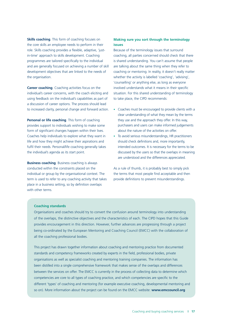in-time' approach to skills development. Coaching programmes are tailored specifically to the individual and are generally focused on achieving a number of skill development objectives that are linked to the needs of **Skills coaching**. This form of coaching focuses on the core skills an employee needs to perform in their role. Skills coaching provides a flexible, adaptive, 'justthe organisation.

 **Career coaching**. Coaching activities focus on the individual's career concerns, with the coach eliciting and using feedback on the individual's capabilities as part of a discussion of career options. The process should lead to increased clarity, personal change and forward action.

 provides support to individuals wishing to make some form of significant changes happen within their lives. fulfil their needs. Personal/life coaching generally takes **Personal or life coaching**. This form of coaching Coaches help individuals to explore what they want in life and how they might achieve their aspirations and the individual's agenda as its start point.

 **Business coaching**. Business coaching is always conducted within the constraints placed on the individual or group by the organisational context. The place in a business setting, so by definition overlaps term is used to refer to any coaching activity that takes with other terms.

#### **Making sure you sort through the terminology issues**

 Because of the terminology issues that surround coaching, all parties concerned should check that there are talking about the same thing when they refer to coaching or mentoring. In reality, it doesn't really matter whether the activity is labelled 'coaching', 'advising', 'counselling' or anything else, as long as everyone involved understands what it means in their specific situation. For this shared understanding of terminology is shared understanding. You can't assume that people to take place, the CIPD recommends:

- clear understanding of what they mean by the terms they use and the approach they offer. In this way, about the nature of the activities on offer. • Coaches must be encouraged to provide clients with a purchasers and users can make informed judgements
- To avoid serious misunderstandings, HR practitioners should check definitions and, more importantly, intended outcomes. It is necessary for the terms to be discussed by the users so that the overlaps in meaning are understood and the differences appreciated.

 As a rule of thumb, it is probably best to simply pick the terms that most people find acceptable and then provide definitions to prevent misunderstandings.

#### **Coaching standards**

Organisations and coaches should try to convert the confusion around terminology into understanding of the overlaps, the distinctive objectives and the characteristics of each. The CIPD hopes that this Guide provides encouragement in this direction. However, further advances are progressing through a project being co-ordinated by the European Mentoring and Coaching Council (EMCC) with the collaboration of all the coaching professional bodies.

 This project has drawn together information about coaching and mentoring practice from documented competencies are core to all types of coaching practice, and which competencies are specific to the standards and competency frameworks created by experts in the field, professional bodies, private organisations as well as specialist coaching and mentoring training companies. The information has been distilled into a single comprehensive framework that makes sense of the overlaps and differences between the services on offer. The EMCC is currently in the process of collecting data to determine which different 'types' of coaching and mentoring (for example executive coaching, developmental mentoring and so on). More information about the project can be found on the EMCC website: **www.emccouncil.org**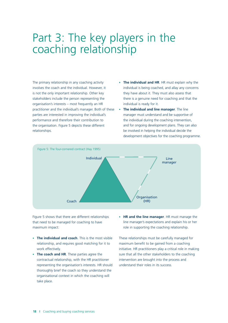### Part 3: The key players in the coaching relationship

The primary relationship in any coaching activity involves the coach and the individual. However, it is not the only important relationship. Other key stakeholders include the person representing the organisation's interests – most frequently an HR practitioner and the individual's manager. Both of these parties are interested in improving the individual's performance and therefore their contribution to the organisation. Figure 5 depicts these different relationships.

- The individual and HR. HR must explain why the individual is being coached, and allay any concerns they have about it. They must also assess that there is a genuine need for coaching and that the individual is ready for it.
- • **The individual and line manager**. The line manager must understand and be supportive of the individual during the coaching intervention, and for ongoing development plans. They can also be involved in helping the individual decide the development objectives for the coaching programme.



Figure 5 shows that there are different relationships that need to be managed for coaching to have maximum impact:

- • **The individual and coach**. This is the most visible relationship, and requires good matching for it to work effectively.
- • **The coach and HR**. These parties agree the contractual relationship, with the HR practitioner representing the organisation's interests. HR should thoroughly brief the coach so they understand the organisational context in which the coaching will take place.
- • **HR and the line manager**. HR must manage the line manager's expectations and explain his or her role in supporting the coaching relationship.

These relationships must be carefully managed for maximum benefit to be gained from a coaching initiative. HR practitioners play a critical role in making sure that all the other stakeholders to the coaching intervention are brought into the process and understand their roles in its success.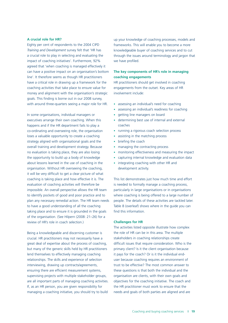#### **A crucial role for HR?**

Eighty per cent of respondents to the 2004 CIPD *Training and Development* survey felt that 'HR has a crucial role to play in selecting and evaluating the impact of coaching initiatives'. Furthermore, 92% agreed that 'when coaching is managed effectively it can have a positive impact on an organisation's bottom line'. It therefore seems as though HR practitioners have a critical role in drawing up a framework for the coaching activities that take place to ensure value for money and alignment with the organisation's strategic goals. This finding is borne out in our 2008 survey, with around three-quarters seeing a major role for HR.

In some organisations, individual managers or executives arrange their own coaching. When this happens and if the HR department fails to play a co-ordinating and overseeing role, the organisation loses a valuable opportunity to create a coaching strategy aligned with organisational goals and the overall training and development strategy. Because no evaluation is taking place, they are also losing the opportunity to build up a body of knowledge about lessons learned in the use of coaching in the organisation. Without HR overseeing the coaching, it will be very difficult to get a clear picture of what coaching is taking place and how effective it is. The evaluation of coaching activities will therefore be impossible. An overall perspective allows the HR team to identify pockets of good and poor practice and to plan any necessary remedial action. The HR team needs to have a good understanding of all the coaching taking place and to ensure it is grounded in the goals of the organisation. (See Hilpern (2008: 21–26) for a review of HR's role in coach selection.)

Being a knowledgeable and discerning customer is crucial. HR practitioners may not necessarily have a great deal of expertise about the process of coaching, but many of the generic skills held by HR practitioners lend themselves to effectively managing coaching relationships. The skills and experience of selection interviewing, drawing up contracts/agreements, ensuring there are efficient measurement systems, supervising projects with multiple stakeholder groups, are all important parts of managing coaching activities. If, as an HR person, you are given responsibility for managing a coaching initiative, you should try to build

up your knowledge of coaching processes, models and frameworks. This will enable you to become a more knowledgeable buyer of coaching services and to cut through the issues around terminology and jargon that we have profiled.

#### **The key components of HR's role in managing coaching engagements**

HR practitioners should get involved in coaching engagements from the outset. Key areas of HR involvement include:

- assessing an individual's need for coaching
- assessing an individual's readiness for coaching
- getting line managers on board
- determining best use of internal and external coaches
- running a rigorous coach selection process
- assisting in the matching process
- briefing the coach
- managing the contracting process
- monitoring effectiveness and measuring the impact
- • capturing internal knowledge and evaluation data
- integrating coaching with other HR and development activity.

This list demonstrates just how much time and effort is needed to formally manage a coaching process, particularly in large organisations or in organisations where coaching is being offered to a large number of people. The details of these activities are tackled later. Table 8 (overleaf) shows where in the guide you can find this information.

#### **Challenges for HR**

The activities listed opposite illustrate how complex the role of HR can be in this area. The multiple stakeholders in coaching relationships create difficult issues that require consideration. Who is the primary client? Is it the client organisation because it pays for the coach? Or is it the individual enduser because coaching requires an environment of trust to be effective? The most common answer to these questions is that both the individual and the organisation are clients, with their own goals and objectives for the coaching initiative. The coach and the HR practitioner must work to ensure that the needs and goals of both parties are aligned and are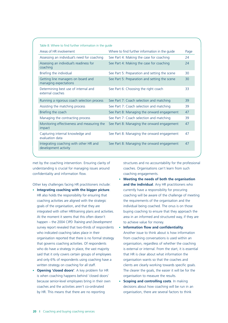| Table 8: Where to find further information in the quide        |                                                |      |
|----------------------------------------------------------------|------------------------------------------------|------|
| Areas of HR involvement                                        | Where to find further information in the quide | Page |
| Assessing an individual's need for coaching                    | See Part 4: Making the case for coaching       | 24   |
| Assessing an individual's readiness for<br>coaching            | See Part 4: Making the case for coaching       | 24   |
| Briefing the individual                                        | See Part 5: Preparation and setting the scene  | 30   |
| Getting line managers on board and<br>managing expectations    | See Part 5: Preparation and setting the scene  | 30   |
| Determining best use of internal and<br>external coaches       | See Part 6: Choosing the right coach           | 33   |
| Running a rigorous coach selection process                     | See Part 7: Coach selection and matching       | 39   |
| Assisting the matching process                                 | See Part 7: Coach selection and matching       | 39   |
| Briefing the coach                                             | See Part 8: Managing the onward engagement     | 47   |
| Managing the contracting process                               | See Part 7: Coach selection and matching       | 39   |
| Monitoring effectiveness and measuring the<br>impact           | See Part 8: Managing the onward engagement     | 47   |
| Capturing internal knowledge and<br>evaluation data            | See Part 8: Managing the onward engagement     | 47   |
| Integrating coaching with other HR and<br>development activity | See Part 8: Managing the onward engagement     | 47   |

understanding is crucial for managing issues around coaches. Organisations can't learn from such confidentiality and information flow. coaching engagements.

- HR also holds the responsibility for ensuring that coaching activities are aligned with the strategic the requirements of the organisation and the integrated with other HR/training plans and activities. At the moment it seems that this often doesn't who indicated coaching takes place in their **Another issue to think about is how information** organisation reported that there is no formal strategy from coaching conversations is used within an said that it only covers certain groups of employees that HR is clear about what information the written strategy on coaching for all staff. goals of the organisation, and that they are individual being coached. The onus is on those happen – the 2004 CIPD *Training and Development* to achieve value for money. survey report revealed that two-thirds of respondents • **Information flow and confidentiality**. that governs coaching activities. Of respondents organisation, regardless of whether the coaching and only 6% of respondents using coaching have a organisation wants so that the coaches and
- is when coaching happens behind 'closed doors' organisation to measure the results. because senior-level employees bring in their own • **Scoping and controlling costs**. In making by HR. This means that there are no reporting organisation, there are several factors to think

met by the coaching intervention. Ensuring clarity of structures and no accountability for the professional

- **Meeting the needs of both the organisation**  Other key challenges facing HR practitioners include: **and the individual**. Any HR practitioners who • **Integrating coaching with the bigger picture**. currently have a responsibility for procuring coaching will be aware of the challenge of meeting buying coaching to ensure that they approach the area in an informed and structured way, if they are
- who do have a strategy in place, the vast majority is external or internal. From the start, it is essential clients are clearly working towards specific goals. • **Opening 'closed doors'**. A key problem for HR The clearer the goals, the easier it will be for the
	- coaches and the activities aren't co-ordinated decisions about how coaching will be run in an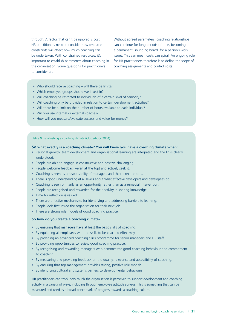HR practitioners need to consider how resource can continue for long periods of time, becoming constraints will affect how much coaching can a permanent 'sounding board' for a person's work the organisation. Some questions for practitioners coaching assignments and control costs. to consider are:

through. A factor that can't be ignored is cost. Without agreed parameters, coaching relationships be undertaken. With constrained resources, it's issues. This can mean costs can spiral. An ongoing role important to establish parameters about coaching in for HR practitioners therefore is to define the scope of

- Who should receive coaching will there be limits?
- Which employee groups should we invest in?
- Will coaching be restricted to individuals of a certain level of seniority?
- Will coaching only be provided in relation to certain development activities?
- Will there be a limit on the number of hours available to each individual?
- Will you use internal or external coaches?
- How will you measure/evaluate success and value for money?

#### Table 9: Establishing a coaching climate (Clutterbuck 2004)

#### **So what exactly is a coaching climate? You will know you have a coaching climate when:**

- • Personal growth, team development and organisational learning are integrated and the links clearly understood.
- People are able to engage in constructive and positive challenging.
- People welcome feedback (even at the top) and actively seek it.
- Coaching is seen as a responsibility of managers and their direct reports.
- There is good understanding at all levels about what effective developers and developees do.
- Coaching is seen primarily as an opportunity rather than as a remedial intervention.
- People are recognised and rewarded for their activity in sharing knowledge.
- Time for reflection is valued.
- There are effective mechanisms for identifying and addressing barriers to learning.
- People look first inside the organisation for their next job.
- There are strong role models of good coaching practice.

#### **So how do you create a coaching climate?**

- By ensuring that managers have at least the basic skills of coaching.
- By equipping all employees with the skills to be coached effectively.
- By providing an advanced coaching skills programme for senior managers and HR staff.
- By providing opportunities to review good coaching practice.
- • By recognising and rewarding managers who demonstrate good coaching behaviour and commitment to coaching.
- By measuring and providing feedback on the quality, relevance and accessibility of coaching.
- By ensuring that top management provides strong, positive role models.
- By identifying cultural and systems barriers to developmental behaviours.

 HR practitioners can track how much the organisation is perceived to support development and coaching activity in a variety of ways, including through employee attitude surveys. This is something that can be measured and used as a broad benchmark of progress towards a coaching culture.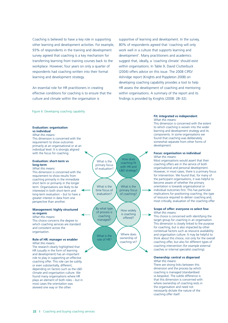Coaching is believed to have a key role in supporting other learning and development activities. For example, 93% of respondents in the training and development survey agreed that coaching is a key mechanism for transferring learning from training courses back to the workplace. However, four years on only a quarter of respondents had coaching written into their formal learning and development strategy.

An essential role for HR practitioners in creating effective conditions for coaching is to ensure that the culture and climate within the organisation is

Figure 6: Developing coaching capability

#### **Evaluation: organisation vs individual**

*What this means:* 

This dimension is concerned with the requirement to show outcomes primarily at an organisational or at an individual level. It is strongly aligned with the focus for coaching.

#### **Evaluation: short-term vs long-term**

#### *What this means:*

This dimension is concerned with the requirement to show results from coaching primarily in the immediate short term or primarily in the longer term. Organisations are likely to be interested in both short-term and long-term evaluation – but to have a greater interest in data from one perspective than another.

#### **Management: highly structured vs organic**

*What this means:*  This choice concerns the degree to which coaching services are standard and consistent across the organisation.

#### **Role of HR: manager vs enabler**

*What this means:*  The research clearly highlighted that HR (usually in the form of learning and development) has an important role to play in supporting an effective coaching offer. This role can be subtly, or even substantially, different, depending on factors such as the L&D climate and organisation culture. We found many organisations where HR plays an element of both roles – but in most cases the orientation was skewed one way or the other.



 Ashridge report (Knights and Poppleton 2008) on supportive of learning and development. In the survey, 80% of respondents agreed that 'coaching will only work well in a culture that supports learning and development'. Many practitioners and academics suggest that, ideally, a 'coaching climate' should exist within organisations. In Table 9, David Clutterbuck (2004) offers advice on this issue. The 2008 CIPD/ developing coaching capability provides a tool to help HR assess the development of coaching and mentoring within organisations. A summary of the report and its findings is provided by Knights (2008: 28–32).

#### **Fit: integrated vs independent**  *What this means:*

This dimension is concerned with the extent to which coaching is woven into the wider learning and development strategy and its components. In some organisations we found that coaching was deliberately somewhat separate from other forms of development.

#### **Focus: organisation vs individual**  *What this means:*

Most organisations would assert that their coaching offers are in the service of both organisational and personal development. However, in most cases, there is a primary focus for intervention. We found that, for many of the participant organisations, it was helpful to become aware of whether the primary orientation is towards organisational or individual outcomes first. This has particular implications for positioning coaching, the type of resource required to deliver coaching and, most critically, evaluation of the coaching offer.

#### **Scope of offer: everyone vs select few**  *What this means:*

This choice is concerned with identifying the target group for coaching in an organisation. This dimension is closely linked to the purpose for coaching, but is also impacted by other contextual factors such as resource availability and organisation culture. It may be helpful to think about this choice, not only for the overall coaching offer, but also for different types of coaching intervention (for example external coaches or internal specialist coaching).

#### **Ownership: central vs dispersed**  *What this means:*

There are strong links between this dimension and the process by which coaching is managed (standardised vs bespoke). The subtle difference is that this dimension is concerned with where ownership of coaching rests in the organisation and need not necessarily dictate the nature of the coaching offer itself.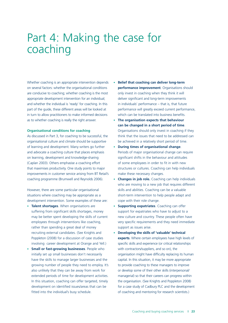### Part 4: Making the case for coaching

 Whether coaching is an appropriate intervention depends • **Belief that coaching can deliver long-term**  on several factors: whether the organisational conditions **performance improvement**. Organisations should are conducive to coaching; whether coaching is the most only invest in coaching when they think it will appropriate development intervention for an individual; deliver significant and long-term improvements and whether the individual is 'ready' for coaching. In this in individuals' performance – that is, that future in turn to allow practitioners to make informed decisions which can be translated into business benefits. part of the guide, these different areas will be looked at as to whether coaching is really the right answer. • **The organisation expects that behaviour** 

that maximises productivity. One study points to major structures or cultures. Coaching can help individuals organisational culture and climate should be supportive be achieved in a relatively short period of time. of learning and development. Many writers go further • **During times of organisational change**. and advocate a coaching culture that places emphasis Periods of major organisational change can require on learning, development and knowledge-sharing significant shifts in the behaviour and attitudes (Caplan 2003). Others emphasise a coaching effort of some employees in order to fit in with new improvements in customer service arising from BT Retail's make these necessary changes. coaching programme (Brumwell and Reynolds 2006). • **Changes in job role.** Coaching can help individuals

However, there are some particular organisational skills and abilities. Coaching can be a valuable situations where coaching may be appropriate as a short-term intervention to help people adapt and development intervention. Some examples of these are: cope with their role change.

- **Talent shortages**. When organisations are  **Supporting expatriates**. Coaching can offer suffering from significant skills shortages, money support for expatriates who have to adjust to a rather than spending a great deal of money support as issues arise. recruiting external candidates. (See Knights and • **Developing the skills of 'valuable' technical**
- **Small or fast-growing businesses**. People who with contractors/suppliers, and so on), the have the skills to manage larger businesses and the capital. In this situation, it may be more appropriate growing number of people they need to employ. It's also unlikely that they can be away from work for or develop some of their other skills (interpersonal/ extended periods of time for development activities. fitted into the individual's busy schedule.  $\qquad \qquad$  of coaching and mentoring for research scientists.)
- **Belief that coaching can deliver long-term** only invest in coaching when they think it will deliver significant and long-term improvements in individuals' performance - that is, that future performance will greatly exceed current performance, which can be translated into business benefits.
- As discussed in Part 3, for coaching to be successful, the think that the issues that need to be addressed can **can be changed in a short period of time**. **Organisational conditions for coaching Organisations should only invest in coaching if they** 
	-
	- who are moving to a new job that requires different
	- may be better spent developing the skills of current new culture and country. These people often have employees through interventions like coaching. very specific requirements and they need immediate
	- involving career development at Orange and Yell.) specific skills and experience (or critical relationships to provide coaching to these managers to improve managerial) so that their careers can progress within development on identified issues/areas that can be for a case study of Cadbury PLC and the development Poppleton (2008) for a discussion of case studies **experts**. Where certain employees have high levels of initially set up small businesses don't necessarily organisation might have difficulty replacing its human In this situation, coaching can offer targeted, timely the organisation. (See Knights and Poppleton 2008)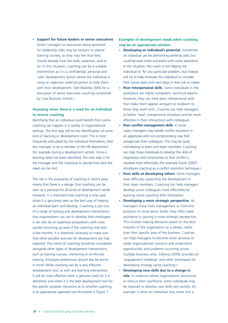**Support for future leaders or senior executives.** Senior managers or executives being groomed for leadership roles may be hesitant to attend training courses, as they may feel that they should already have the skills, expertise, and so on. In this situation, coaching can be a suitable intervention as it is a confidential, personal and 'safe' development option where the individual is using an objective, external person to help them with their development. (See Blakeley 2006 for a discussion of senior executive coaching conducted by Cass Business School.)

#### **Assessing when there is a need for an individual to receive coaching**

 Identifying that an individual could benefit from some coaching can happen in a variety of organisational settings. The first step will be the identification of some kind of learning or development need. This is most frequently articulated by the individual themselves, their (for example during a development centre). Once a learning need has been identified, the next step is for line manager or by a member of the HR department the manager and the individual to decide how best the need can be met.

 The rise in the popularity of coaching in recent years means that there is a danger that coaching can be However, it is important that coaching is only used when it is genuinely seen as the best way of helping of a range of training and development interventions that organisations can use to develop their employees. It can also be an expensive proposition, with costs quickly mounting up even if the coaching only lasts a few months. It is therefore necessary to make sure alongside other types of development interventions, such as training courses, mentoring or on-the-job training. Employee preferences should also be borne in mind. While coaching can be a very effective development tool, as with any learning intervention, it will be most effective when a genuine need for it is identified, and when it is the best development tool for the specific purpose. Decisions as to whether coaching is an appropriate approach are illustrated in Figure 7. seen as a panacea for all kinds of development needs. an individual learn and develop. Coaching is just one that other possible avenues for development are fully explored. The merits of coaching should be considered

#### **Examples of development needs when coaching may be an appropriate solution**

- an individual can be performing perfectly well, but could be even more successful with some assistance. In this situation, the coach is not helping the their future plans and next steps in their job or career. • **Developing an individual's potential**. Sometimes individual to 'fix' any particular problem, but instead will try to help motivate the individual to consider
- Poor interpersonal skills. Some individuals in the workplace are highly competent, technical experts. However, they can have poor interpersonal skills that make them appear arrogant or stubborn to those they work with. Coaches can help managers to better 'read' interpersonal situations and be more effective in their interactions with colleagues.
- **Poor conflict management skills**. In some intimidating to peers and team members. Coaching can help these individuals to develop the skills of negotiation and compromise so that conflict is resolved more effectively. (For example Down (2007) cases, managers may handle conflict situations in an aggressive and non-compromising way that antagonises their colleagues. This may be quite introduces coaching as a conflict resolution technique.)
- **Poor skills at developing others**. Some managers have difficulty supporting the development of their team members. Coaching can help managers develop junior colleagues more effectively by learning some coaching skills themselves.
- • **Developing a more strategic perspective**. As managers move from management or front-line positions to more senior levels, they often need assistance in gaining a more strategic perspective. This involves making decisions based on the best interests of the organisation as a whole, rather than their specific area of the business. Coaches can help managers to become more sensitive to wider organisational concerns and understand opportunities and problems occurring across multiple business units. (Uberoy (2006) provides an 'engagement roadmap' and other techniques for developing strategy using coaching.)
- **Developing new skills due to a change in role**. In instances where organisations restructure or refocus their workforce, some individuals may be required to develop new skills very quickly. An example is when an individual may move into a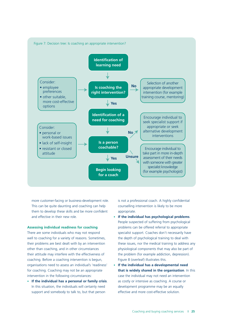

more customer-facing or business-development role. is not a professional coach. A highly confidential This can be quite daunting and coaching can help counselling intervention is likely to be more them to develop these skills and be more confident appropriate. and effective in their new role. • **If the individual has psychological problems**.

well to coaching for a variety of reasons. Sometimes, the depth of psychological training to deal with their attitude may interfere with the effectiveness of the problem (for example addiction, depression). coaching. Before a coaching intervention is begun, Figure 8 (overleaf) illustrates this. organisations need to assess an individual's 'readiness' • **If the individual has a developmental need**  intervention in the following circumstances: case the individual may not need an intervention

In this situation, the individuals will certainly need development programme may be an equally support and somebody to talk to, but that person effective and more cost-effective solution.

- People suspected of suffering from psychological **Assessing individual readiness for coaching problems** can be offered referral to appropriate There are some individuals who may not respond specialist support. Coaches don't necessarily have their problems are best dealt with by an intervention these issues, nor the medical training to address any other than coaching, and in other circumstances physiological components that may also be part of
- for coaching. Coaching may not be an appropriate **that is widely shared in the organisation**. In this • If the individual has a personal or family crisis. as costly or intensive as coaching. A course or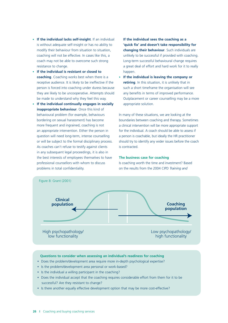- • **If the individual lacks self-insight**. If an individual is without adequate self-insight or has no ability to modify their behaviour from situation to situation, coaching will not be effective. In cases like this, a coach may not be able to overcome such strong resistance to change.
- • **If the individual is resistant or closed to coaching**. Coaching works best when there is a receptive audience. It is likely to be ineffective if the person is forced into coaching under duress because they are likely to be uncooperative. Attempts should be made to understand why they feel this way.
- If the individual continually engages in socially **inappropriate behaviour**. Once this kind of behavioural problem (for example, behaviours bordering on sexual harassment) has become more frequent and ingrained, coaching is not an appropriate intervention. Either the person in question will need long-term, intense counselling or will be subject to the formal disciplinary process. As coaches can't refuse to testify against clients in any subsequent legal proceedings, it is also in the best interests of employees themselves to have professional counsellors with whom to discuss problems in total confidentiality.

**If the individual sees the coaching as a 'quick fix' and doesn't take responsibility for changing their behaviour**. Such individuals are unlikely to be successful if provided with coaching. Long-term successful behavioural change requires a great deal of effort and hard work for it to really happen.

If the individual is leaving the company or **retiring**. In this situation, it is unlikely that in such a short timeframe the organisation will see any benefits in terms of improved performance. Outplacement or career counselling may be a more appropriate solution.

 In many of these situations, we are looking at the boundaries between coaching and therapy. Sometimes a clinical intervention will be more appropriate support for the individual. A coach should be able to assess if a person is coachable, but ideally the HR practitioner should try to identify any wider issues before the coach is contracted.

#### **The business case for coaching**

Is coaching worth the time and investment? Based on the results from the 2004 CIPD *Training and* 



#### **Questions to consider when assessing an individual's readiness for coaching**

- Does the problem/development area require more in-depth psychological expertise?
- Is the problem/development area personal or work-based?
- Is the individual a willing participant in the coaching?
- • Does the individual accept that the coaching requires considerable effort from them for it to be successful? Are they resistant to change?
- Is there another equally effective development option that may be more cost-effective?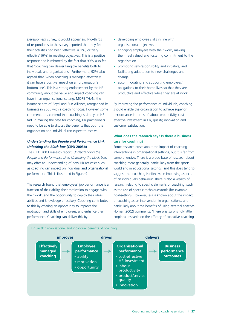*Development* survey, it would appear so. Two-thirds of respondents to the survey reported that they felt their activities had been 'effective' (61%) or 'very response and is mirrored by the fact that 99% also felt that 'coaching can deliver tangible benefits both to agreed that 'when coaching is managed effectively it can have a positive impact on an organisation's bottom line'. This is a strong endorsement by the HR community about the value and impact coaching can have in an organisational setting. MORE TH>N, the insurance arm of Royal and Sun Alliance, reorganised its commentators contend that coaching is simply an HR fad. In making the case for coaching, HR practitioners organisation and individual can expect to receive. effective' (6%) in meeting objectives. This is a positive individuals and organisations'. Furthermore, 92% also business in 2005 with a coaching focus. However, some need to be able to discuss the benefits that both the

#### *Understanding the People and Performance Link: Unlocking the black box* **(CIPD 2003b)**

 may offer an understanding of how HR activities such as coaching can impact on individual and organisational performance. This is illustrated in Figure 9. The CIPD 2003 research report, *Understanding the People and Performance Link: Unlocking the black box*,

 function of their ability, their motivation to engage with their work, and the opportunity to deploy their ideas, motivation and skills of employees, and enhance their performance. Coaching can deliver this by: The research found that employees' job performance is a abilities and knowledge effectively. Coaching contributes to this by offering an opportunity to improve the

- • developing employee skills in line with organisational objectives
- engaging employees with their work, making them feel valued and fostering commitment to the organisation
- promoting self-responsibility and initiative, and facilitating adaptation to new challenges and change
- accommodating and supporting employees' obligations to their home lives so that they are productive and effective while they are at work.

 should enable the organisation to achieve superior effective investment in HR, quality, innovation and By improving the performance of individuals, coaching performance in terms of labour productivity, costcustomer satisfaction.

#### **What does the research say? Is there a business case for coaching?**

 Some research exists about the impact of coaching interventions in organisational settings, but it is far from comprehensive. There is a broad base of research about world and in educational settings, and this does tend to suggest that coaching is effective in improving aspects of an individual's behaviour. There is also a wealth of research relating to specific elements of coaching, such as the use of specific techniques/tools (for example goal-setting). However, less is known about the impact of coaching as an intervention in organisations, and particularly about the benefits of using external coaches. Horner (2002) comments: 'There was surprisingly little empirical research on the efficacy of executive coaching coaching more generally, particularly from the sports

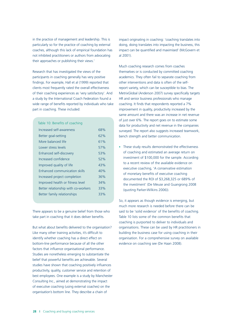particularly so for the practice of coaching by external coaches, although this lack of empirical foundation has not inhibited practitioners or authors from advocating in the practice of management and leadership. This is their approaches or publishing their views.'

 Research that has investigated the views of the participants in coaching generally has very positive findings. For example, Hall et al (1999) reported that clients most frequently rated the overall effectiveness wide range of benefits reported by individuals who take of their coaching experiences as 'very satisfactory'. And a study by the International Coach Federation found a part in coaching. These included:

| Table 10: Benefits of coaching      |     |
|-------------------------------------|-----|
| Increased self-awareness            | 68% |
| Better goal-setting                 | 62% |
| More balanced life                  | 61% |
| Lower stress levels                 | 57% |
| Enhanced self-discovery             | 53% |
| Increased confidence                | 52% |
| Improved quality of life            | 43% |
| Enhanced communication skills       | 40% |
| Increased project completion        | 36% |
| Improved health or fitness level    | 34% |
| Better relationship with co-workers | 33% |
| Better family relationships         | 33% |
|                                     |     |

 There appears to be a genuine belief from those who take part in coaching that it does deliver benefits.

 But what about benefits delivered to the organisation? Like many other training activities, it's difficult to factors that influence organisational performance. Studies are nonetheless emerging to substantiate the studies have shown that coaching positively influences productivity, quality, customer service and retention of best employees. One example is a study by Manchester Consulting Inc., aimed at demonstrating the impact organisation's bottom line. They describe a chain of identify whether coaching has a direct effect on bottom-line performance because of all the other belief that powerful benefits are achievable. Several of executive coaching (using external coaches) on the

 impact can be quantified and maximised' (McGovern et impact originating in coaching: 'coaching translates into doing, doing translates into impacting the business, this al 2001).

 Much coaching research comes from coaches academics. They often fail to separate coaching from MetrixGlobal (Anderson 2007) survey specifically targets HR and senior business professionals who manage coaching. It finds that respondents reported a 7% same amount and there was an increase in net revenue of just over 6%. The report goes on to estimate some data for productivity and net revenue in the companies surveyed. The report also suggests increased teamwork, themselves or is conducted by committed coaching other interventions and data is often of the selfreport variety, which can be susceptible to bias. The improvement in quality, productivity increased by the bench strength and better communication.

• These study results demonstrated the effectiveness of coaching and estimated an average return on investment of \$100,000 for the sample. According to a recent review of the available evidence on executive coaching, 'A conservative estimation of monetary benefits of executive coaching documented the ROI of \$3,268,325 or 689% of the investment' (De Meuse and Guangrong 2008 (quoting Parker-Wilkins 2006)).

So, it appears as though evidence is emerging, but much more research is needed before there can be said to be 'solid evidence' of the benefits of coaching. Table 10 lists some of the common benefits that coaching is purported to deliver to individuals and organisations. These can be used by HR practitioners in building the business case for using coaching in their organisation. For a comprehensive survey on available evidence on coaching see (De Haan 2008).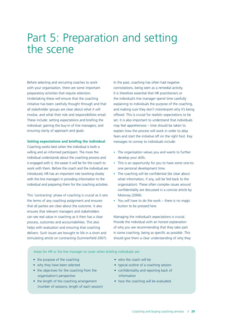### Part 5: Preparation and setting the scene

Before selecting and recruiting coaches to work with your organisation, there are some important preparatory activities that require attention. Undertaking these will ensure that the coaching initiative has been carefully thought through and that all stakeholder groups are clear about what it will involve, and what their role and responsibilities entail. These include: setting expectations and briefing the individual; gaining the buy-in of line managers; and ensuring clarity of approach and goals.

#### **Setting expectations and briefing the individual**

 individual understands about the coaching process and is engaged with it, the easier it will be for the coach to introduced, HR has an important role (working closely with the line manager) in providing information to the individual and preparing them for the coaching activities. Coaching works best when the individual is both a willing and an informed participant. The more the work with them. Before the coach and the individual are

This 'contracting' phase of coaching is crucial as it sets the terms of any coaching assignment and ensures that all parties are clear about the outcome. It also ensures that relevant managers and stakeholders can see real value in coaching as it then has a clear process, outcomes and accountabilities. This also helps with evaluation and ensuring that coaching delivers. Such issues are brought to life in a short and stimulating article on contracting (Summerfield 2007).

In the past, coaching has often had negative connotations, being seen as a remedial activity. It is therefore essential that HR practitioners or the individual's line manager spend time carefully explaining to individuals the purpose of the coaching, and making sure they don't misinterpret why it's being offered. This is crucial for realistic expectations to be set. It is also important to understand that individuals may feel apprehensive – time should be taken to explain how the process will work in order to allay fears and start the initiative off on the right foot. Key messages to convey to individuals include:

- The organisation values you and wants to further develop your skills.
- This is an opportunity for you to have some one-toone personal development time.
- The coaching will be confidential (be clear about what information, if any, will be fed back to the organisation). These often complex issues around confidentiality are discussed in a concise article by Moloney (2006).
- You will have to do the work there is no magic button to be pressed here.

Managing the individual's expectations is crucial. Provide the individual with an honest explanation of why you are recommending that they take part in some coaching, being as specific as possible. This should give them a clear understanding of why they

Areas for HR or the line manager to cover when briefing individuals are:

- the purpose of the coaching
- why they have been selected
- • the objectives for the coaching from the organisation's perspective
- • the length of the coaching arrangement (number of sessions; length of each session)
- who the coach will be
- typical outline of a coaching session
- • confidentiality and reporting back of information
- how the coaching will be evaluated.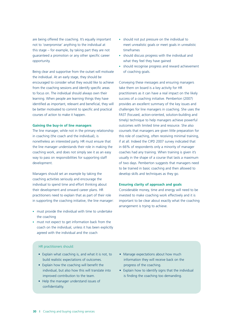are being offered the coaching. It's equally important not to 'overpromise' anything to the individual at this stage – for example, by taking part they are not guaranteed a promotion or any other specific career opportunity.

 Being clear and supportive from the outset will motivate the individual. At an early stage, they should be encouraged to consider what they would like to achieve from the coaching sessions and identify specific areas to focus on. The individual should always own their learning. When people are learning things they have identified as important, relevant and beneficial, they will be better motivated to commit to specific and practical courses of action to make it happen.

#### **Gaining the buy-in of line managers**

The line manager, while not in the primary relationship in coaching (the coach and the individual), is nonetheless an interested party. HR must ensure that the line manager understands their role in making the coaching work, and does not simply see it as an easy way to pass on responsibilities for supporting staff development.

Managers should set an example by taking the coaching activities seriously and encourage the individual to spend time and effort thinking about their development and onward career plans. HR practitioners need to explain that as part of their role in supporting the coaching initiative, the line manager:

- must provide the individual with time to undertake the coaching
- must not expect to get information back from the coach on the individual, unless it has been explicitly agreed with the individual and the coach
- should not put pressure on the individual to meet unrealistic goals or meet goals in unrealistic timeframes
- should discuss progress with the individual and what they feel they have gained
- should recognise progress and reward achievement of coaching goals.

Conveying these messages and ensuring managers take them on board is a key activity for HR practitioners as it can have a real impact on the likely success of a coaching initiative. Pemberton (2007) provides an excellent summary of the key issues and challenges for line managers in coaching. She uses the FAST (focused, action-oriented, solution-building and timely) technique to help managers achieve powerful outcomes with limited time and resource. She also counsels that managers are given little preparation for this role of coaching, often receiving minimal training, if at all. Indeed the CIPD 2007 survey indicated that in 66% of respondents only a minority of manager coaches had any training. When training is given it's usually in the shape of a course that lasts a maximum of two days. Pemberton suggests that managers need to be trained in basic coaching and then allowed to develop skills and techniques as they go.

#### **Ensuring clarity of approach and goals**

Considerable money, time and energy will need to be invested to make coaching work effectively and it is important to be clear about exactly what the coaching arrangement is trying to achieve.

#### HR practitioners should:

- • Explain what coaching is, and what it is not, to build realistic expectations of outcomes.
- • Explain how the coaching will benefit the individual, but also how this will translate into improved contribution to the team.
- • Help the manager understand issues of confidentiality.
- Manage expectations about how much information they will receive back on the progress of the coaching.
- • Explain how to identify signs that the individual is finding the coaching too demanding.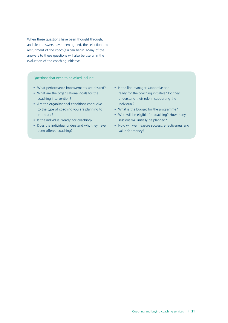When these questions have been thought through, and clear answers have been agreed, the selection and recruitment of the coach(es) can begin. Many of the answers to these questions will also be useful in the evaluation of the coaching initiative.

Questions that need to be asked include:

- What performance improvements are desired?
- • What are the organisational goals for the coaching intervention?
- • Are the organisational conditions conducive to the type of coaching you are planning to introduce?
- Is the individual 'ready' for coaching?
- • Does the individual understand why they have been offered coaching?
- • Is the line manager supportive and ready for the coaching initiative? Do they understand their role in supporting the individual?
- What is the budget for the programme?
- Who will be eligible for coaching? How many sessions will initially be planned?
- • How will we measure success, effectiveness and value for money?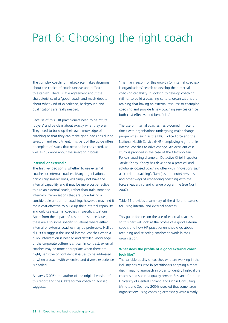# Part 6: Choosing the right coach

The complex coaching marketplace makes decisions about the choice of coach unclear and difficult to establish. There is little agreement about the characteristics of a 'good' coach and much debate about what kind of experience, background and qualifications are really needed.

Because of this, HR practitioners need to be astute 'buyers' and be clear about exactly what they want. They need to build up their own knowledge of coaching so that they can make good decisions during selection and recruitment. This part of the guide offers a template of issues that need to be considered, as well as guidance about the selection process.

#### **Internal or external?**

The first key decision is whether to use external coaches or internal coaches. Many organisations, particularly smaller ones, will simply not have the internal capability and it may be more cost-effective to hire an external coach, rather than train someone internally. Organisations that are undertaking a considerable amount of coaching, however, may find it more cost-effective to build up their internal capability and only use external coaches in specific situations. Apart from the impact of cost and resource issues, there are also some specific situations where either internal or external coaches may be preferable. Hall et al (1999) suggest the use of internal coaches when a quick intervention is needed and detailed knowledge of the corporate culture is critical. In contrast, external coaches may be more appropriate when there are highly sensitive or confidential issues to be addressed or when a coach with extensive and diverse experience is needed.

As Jarvis (2006), the author of the original version of this report and the CIPD's former coaching adviser, suggests:

'The main reason for this growth (of internal coaches) is organisations' search to develop their internal coaching capability. In looking to develop coaching skill, or to build a coaching culture, organisations are realising that having an external resource to champion coaching and provide timely coaching services can be both cost-effective and beneficial.'

The use of internal coaches has bloomed in recent times with organisations undergoing major change programmes, such as the BBC, Police Force and the National Health Service (NHS), employing high-profile internal coaches to drive change. An excellent case study is provided in the case of the Metropolitan Police's coaching champion Detective Chief Inspector Jackie Keddy. Keddy has developed a practical and solutions-focused coaching offer with innovations such as 'corridor coaching', 'Jam (just a minute) sessions' and other ways of embedding coaching with the force's leadership and change programme (see North 2007).

Table 11 provides a summary of the different reasons for using internal and external coaches.

This guide focuses on the use of external coaches, so this part will look at the profile of a good external coach, and how HR practitioners should go about recruiting and selecting coaches to work in their organisation.

#### **What does the profile of a good external coach look like?**

 The variable quality of coaches who are working in the industry has resulted in practitioners adopting a more discriminating approach in order to identify high-calibre University of Central England and Origin Consulting (Arnott and Sparrow 2004) revealed that some large organisations using coaching extensively were already coaches and secure a quality service. Research from the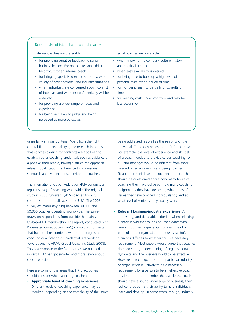#### Table 11: Use of internal and external coaches

| External coaches are preferable:                                                                                                                                                                                                                                                                                                                                                                                                                                                                      | Internal coaches are preferable:                                                                                                                                                                                                                                                                                                                    |
|-------------------------------------------------------------------------------------------------------------------------------------------------------------------------------------------------------------------------------------------------------------------------------------------------------------------------------------------------------------------------------------------------------------------------------------------------------------------------------------------------------|-----------------------------------------------------------------------------------------------------------------------------------------------------------------------------------------------------------------------------------------------------------------------------------------------------------------------------------------------------|
| for providing sensitive feedback to senior<br>business leaders. For political reasons, this can<br>be difficult for an internal coach<br>for bringing specialised expertise from a wide<br>variety of organisational and industry situations<br>when individuals are concerned about 'conflict<br>of interests' and whether confidentiality will be<br>observed<br>for providing a wider range of ideas and<br>experience<br>for being less likely to judge and being<br>perceived as more objective. | • when knowing the company culture, history<br>and politics is critical<br>• when easy availability is desired<br>• for being able to build up a high level of<br>personal trust over a period of time<br>for not being seen to be 'selling' consulting<br>$\bullet$<br>time<br>• for keeping costs under control $-$ and may be<br>less expensive. |

 using fairly stringent criteria. Apart from the right that coaches bidding for contracts are also keen to establish other coaching credentials such as evidence of a positive track record, having a structured approach, relevant qualifications, adherence to professional standards and evidence of supervision of coaches. cultural fit and personal style, the research indicates

The International Coach Federation (ICF) conducts a regular survey of coaching worldwide. The original study in 2006 surveyed 5,415 coaches from 73 countries, but the bulk was in the USA. The 2008 survey estimates anything between 30,000 and 50,000 coaches operating worldwide. The survey draws on respondents from outside the mainly US-based ICF membership. The report, conducted with PricewaterhouseCoopers (PwC) consulting, suggests that half of all respondents without a recognised coaching qualification or 'credential' are working towards one (ICF/PWC Global Coaching Study 2008). This is a response to the fact that, as we outlined in Part 1, HR has got smarter and more savvy about coach selection.

Here are some of the areas that HR practitioners should consider when selecting coaches:

• **Appropriate level of coaching experience**. Different levels of coaching experience may be required, depending on the complexity of the issues being addressed, as well as the seniority of the individual. The coach needs to be 'fit for purpose'. For example, the level of experience and skill set of a coach needed to provide career coaching for a junior manager would be different from those needed when an executive is being coached. To ascertain their level of experience, the coach should be questioned about how many hours of coaching they have delivered, how many coaching assignments they have delivered, what kinds of issues they have coached individuals for, and at what level of seniority they usually work.

• **Relevant business/industry experience**. An interesting, and debatable, criterion when selecting a coach is whether to look for candidates with relevant business experience (for example of a particular job, organisation or industry sector). Opinions differ as to whether this is a necessary requirement. Most people would agree that coaches do need strong understanding of organisational dynamics and the business world to be effective. However, direct experience of a particular industry or organisation is unlikely to be a necessary requirement for a person to be an effective coach. It is important to remember that, while the coach should have a sound knowledge of business, their real contribution is their ability to help individuals learn and develop. In some cases, though, industry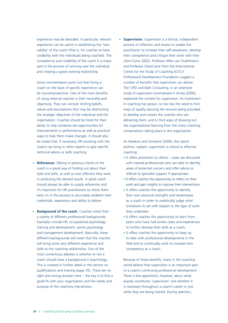experience can be useful in establishing the 'face validity' of the coach (that is, for coaches to have credibility with the individuals being coached). The competence and credibility of the coach is a major part in the process of winning over the individual and creating a good working relationship.

Some commentators point out that hiring a coach on the basis of specific experience can be counterproductive. One of the main benefits of using external coaches is their neutrality and objectivity. They can uncover limiting beliefs, values and assumptions that may be obstructing the strategic objectives of the individual and the organisation. Coaches should be hired for their ability to help someone see opportunities for improvements in performance as well as practical ways to help them make changes. It should also be noted that, if necessary, HR (working with the coach) can bring in other experts to give specific technical advice or skills coaching.

- • **References**. Talking to previous clients of the coach is a good way of finding out about their style and skills, as well as how effective they were in producing the desired results. A good coach should always be able to supply references and it's important for HR practitioners to check them early on in the process to accurately establish their credentials, experience and ability to deliver.
- **Background of the coach**. Coaches come from a variety of different professional backgrounds. Examples include HR, occupational psychology, training and development, sports psychology and management development. Naturally, these different backgrounds will mean that the coaches will bring some very different experience and skills to the coaching relationship. One of the most contentious debates is whether or not a coach should have a background in psychology. This is covered in further detail in the section on qualifications and training (page 35). There are no right and wrong answers here – the key is to find a good fit with your organisation and the needs and purpose of the coaching intervention.

experience may be desirable. In particular, relevant **• Supervision**. Supervision is a formal, independent process of reflection and review to enable the practitioner to increase their self-awareness, develop their competence and critique their work with their client (Lane 2002). Professor Mike van Oudtshoorn and Professor David Lane from the International Centre for the Study of Coaching (ICSC)/ Professional Development Foundation suggest a number of benefits that supervision can deliver. The CIPD and Bath Consulting, in an extensive study of supervision summarised in Arney (2006), explained the context for supervision. As investment in coaching has grown, so too has the need to find ways of quality assuring the services being provided, to develop and sustain the coaches who are delivering them, and to find ways of drawing out the organisational learning from the many coaching conversations taking place in the organisation.

> coaching: As Hawkins and Schwenk (2006), the report authors, explain, supervision is critical to effective

- • It offers protection to clients cases are discussed with trained professionals who are able to identify areas of potential concern and offer advice or referral to specialist support if appropriate.
- • It offers coaches the opportunity to reflect on their work and gain insights to improve their interventions.
- • It offers coaches the opportunity to identify their own personal strengths and weaknesses as a coach in order to realistically judge what limitations to set with respect to the type of work they undertake.
- • It offers coaches the opportunity to learn from peers who have had similar cases and experiences to further develop their skills as a coach.
- • It offers coaches the opportunity to keep up to date with professional developments in the field and to continually work to increase their competency as a coach.

Because of these benefits, many in the coaching world believe that supervision is an important part of a coach's continuing professional development. There is less agreement, however, about what exactly constitutes 'supervision' and whether it is necessary throughout a coach's career or just while they are being trained. During selection,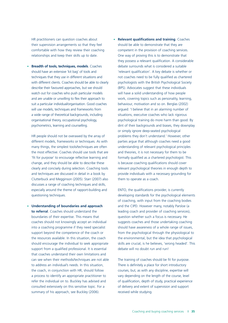HR practitioners can question coaches about • **Relevant qualifications and training**. Coaches their supervision arrangements so that they feel comfortable with how they review their coaching relationships and keep their skills up to date.

 watch out for coaches who push particular models and are unable or unwilling to flex their approach to suit a particular individual/organisation. Good coaches a wide range of theoretical backgrounds, including psychometrics, learning and counselling. • **Breadth of tools, techniques, models**. Coaches should have an extensive 'kit bag' of tools and techniques that they use in different situations and with different clients. Coaches should be able to clearly describe their favoured approaches, but we should will use models, techniques and frameworks from organisational theory, occupational psychology,

 different models, frameworks or techniques. As with many things, the simplest tools/techniques are often 'fit for purpose' to encourage reflective learning and change, and they should be able to describe these clearly and concisely during selection. Coaching tools and techniques are discussed in detail in a book by Clutterbuck and Megginson (2005). Starr (2007) also discusses a range of coaching techniques and skills, especially around the theme of rapport-building and HR people should not be overawed by the array of the most effective. Coaches should use tools that are questioning techniques.

• **Understanding of boundaries and approach to referral**. Coaches should understand the boundaries of their expertise. This means that coaches should not knowingly accept an individual into a coaching programme if they need specialist support beyond the competence of the coach or the resources available. In this situation, the coach should encourage the individual to seek appropriate support from a qualified professional. It is essential that coaches understand their own limitations and can see when their methods/techniques are not able to address an individual's needs. In this situation, the coach, in conjunction with HR, should follow a process to identify an appropriate practitioner to refer the individual on to. Buckley has advised and consulted extensively on this sensitive topic. For a summary of his approach, see Buckley (2006).

 should be able to demonstrate that they are competent in the provision of coaching services. they possess a relevant qualification. A considerable 'relevant qualification'. A key debate is whether or not coaches need to be fully qualified as chartered psychologists with the British Psychological Society (BPS). Advocates suggest that these individuals will have a solid understanding of how people work, covering topics such as personality, learning, behaviour, motivation and so on. Berglas (2002) argued: 'I believe that in an alarming number of situations, executive coaches who lack rigorous psychological training do more harm than good. By dint of their backgrounds and biases, they downplay or simply ignore deep-seated psychological problems they don't understand.' However, other parties argue that although coaches need a good understanding of relevant psychological principles and theories, it is not necessary for them to be formally qualified as a chartered psychologist. This is because coaching qualifications should cover relevant psychological theories in enough depth to provide individuals with a necessary grounding for One way of proving this is to demonstrate that debate surrounds what is considered a suitable them to operate as a coach.

ENTO, the qualifications provider, is currently developing standards for the psychological elements of coaching, with input from the coaching bodies and the CIPD. However many, notably Parsloe (a leading coach and provider of coaching services), question whether such a focus is necessary. He suggests coaches and those undertaking coaching should have awareness of a whole range of issues, from the psychological through the physiological to the environmental, but the idea that psychological skills are crucial, is he believes, 'wrong headed'. This debate will no doubt run and run!

 The training of coaches should be fit for purpose. There is definitely a place for short introductory courses, but, as with any discipline, expertise will vary depending on the length of the course, level of qualification, depth of study, practical experience of delivery and extent of supervision and support received while studying.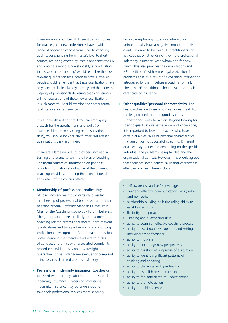There are now a number of different training routes for coaches, and new professionals have a wide range of options to choose from. Specific coaching and across the world. Understandably, a qualification that is specific to 'coaching' would seem like the most people should remember that these qualifications have only been available relatively recently and therefore the will not possess one of these newer qualifications. In such cases you should examine their other formal qualifications and experience. qualifications, ranging from master's level to short courses, are being offered by institutions across the UK relevant qualification for a coach to have. However, majority of professionals delivering coaching services

 It is also worth noting that if you are employing example skills-based coaching on presentation skills), you should look for any further 'skills-based' a coach for the specific transfer of skills (for qualifications they might need.

 There are a large number of providers involved in coaching providers, including their contact details training and accreditation in the fields of coaching. The useful sources of information on page 58 provides information about some of the different and details of the courses offered.

- **Membership of professional bodies**. Buyers of coaching services should certainly consider membership of professional bodies as part of their selection criteria. Professor Stephen Palmer, Past Chair of the Coaching Psychology Forum, believes: 'the good practitioners are likely to be a member of coaching-related professional bodies, have relevant qualifications and take part in ongoing continuing professional development.' All the main professional bodies demand that members adhere to codes of conduct and ethics with associated complaints procedures. While this is not a watertight guarantee, it does offer some avenue for complaint if the services delivered are unsatisfactory.
- • **Professional indemnity insurance**. Coaches can be asked whether they subscribe to professional indemnity insurance. Holders of professional indemnity insurance may be understood to take their professional services more seriously

by preparing for any situations where they unintentionally have a negative impact on their clients. In order to be clear, HR practitioners can ask coaches whether or not they hold professional indemnity insurance, with whom and for how much. This also provides the organisation (and HR practitioner) with some legal protection if problems arise as a result of a coaching intervention introduced by them. Before a coach is formally hired, the HR practitioner should ask to see their certificate of insurance.

- **Other qualities/personal characteristics**. The best coaches are those who give honest, realistic, challenging feedback, are good listeners and suggest good ideas for action. Beyond looking for specific qualifications, experience and knowledge, it is important to look for coaches who have certain qualities, skills or personal characteristics that are critical to successful coaching. Different qualities may be needed depending on the specific individual, the problems being tackled and the organisational context. However, it is widely agreed that there are some general skills that characterise effective coaches. These include:
	- self-awareness and self-knowledge
	- • clear and effective communication skills (verbal and non-verbal)
	- relationship-building skills (including ability to establish rapport)
	- flexibility of approach
	- listening and questioning skills
	- ability to design an effective coaching process
	- ability to assist goal development and setting, including giving feedback
	- ability to motivate
	- ability to encourage new perspectives
	- ability to assist in making sense of a situation
	- • ability to identify significant patterns of thinking and behaving
	- ability to challenge and give feedback
	- ability to establish trust and respect
	- ability to facilitate depth of understanding
	- ability to promote action
	- ability to build resilience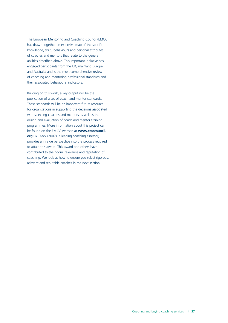The European Mentoring and Coaching Council (EMCC) has drawn together an extensive map of the specific of coaches and mentors that relate to the general abilities described above. This important initiative has engaged participants from the UK, mainland Europe and Australia and is the most comprehensive review of coaching and mentoring professional standards and knowledge, skills, behaviours and personal attributes their associated behavioural indicators.

 Building on this work, a key output will be the publication of a set of coach and mentor standards. These standards will be an important future resource for organisations in supporting the decisions associated with selecting coaches and mentors as well as the design and evaluation of coach and mentor training programmes. More information about this project can **org.uk** Dieck (2007), a leading coaching assessor, provides an inside perspective into the process required contributed to the rigour, relevance and reputation of coaching. We look at how to ensure you select rigorous, be found on the EMCC website at **www.emccouncil.**  to attain this award. This award and others have relevant and reputable coaches in the next section.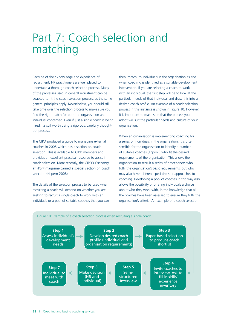### Part 7: Coach selection and matching

 undertake a thorough coach selection process. Many of the processes used in general recruitment can be adapted to fit the coach-selection process, as the same general principles apply. Nevertheless, you should still find the right match for both the organisation and individual concerned. Even if just a single coach is being Because of their knowledge and experience of recruitment, HR practitioners are well placed to take time over the selection process to make sure you hired, it's still worth using a rigorous, carefully thoughtout process.

The CIPD produced a guide to managing external coaches in 2005 which has a section on coach selection. This is available to CIPD members and provides an excellent practical resource to assist in coach selection. More recently, the CIPD's *Coaching at Work* magazine carried a special section on coach selection (Hilpern 2008).

 The details of the selection process to be used when recruiting a coach will depend on whether you are seeking to recruit a single coach to work with an individual, or a pool of suitable coaches that you can

 then 'match' to individuals in the organisation as and intervention. If you are selecting a coach to work particular needs of that individual and draw this into a desired coach profile. An example of a coach selection process in this instance is shown in Figure 10. However, it is important to make sure that the process you adopt will suit the particular needs and culture of your when coaching is identified as a suitable development with an individual, the first step will be to look at the organisation.

 When an organisation is implementing coaching for a series of individuals in the organisation, it is often sensible for the organisation to identify a number of suitable coaches (a 'pool') who fit the desired requirements of the organisation. This allows the may also have different specialisms or approaches to coaching. Developing a pool of coaches in this way also allows the possibility of offering individuals a choice about who they work with, in the knowledge that all the coaches have been assessed to ensure they fulfil the organisation's criteria. An example of a coach selection organisation to recruit a series of practitioners who fulfil the organisation's basic requirements, but who

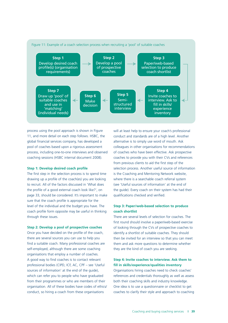

process using the pool approach is shown in Figure 11, and more detail on each step follows. HSBC, the global financial services company, has developed a pool of coaches based upon a rigorous assessment process, including one-to-one interviews and observed coaching sessions (HSBC internal document 2008).

#### **Step 1: Develop desired coach profile**

The first step in the selection process is to spend time drawing up a profile of the coach(es) you are looking to recruit. All of the factors discussed in 'What does the profile of a good external coach look like?', on page 33, should be considered. It's important to make sure that the coach profile is appropriate for the level of the individual and the budget you have. The coach profile form opposite may be useful in thinking through these issues.

#### **Step 2: Develop a pool of prospective coaches**

Once you have decided on the profile of the coach, there are several sources you can use to help you find a suitable coach. Many professional coaches are self-employed, although there are some coaching organisations that employ a number of coaches. A good way to find coaches is to contact relevant professional bodies (CIPD, ICF, AC, CPF – see 'Useful sources of information' at the end of the guide), which can refer you to people who have graduated from their programmes or who are members of their organisation. All of these bodies have codes of ethics/ conduct, so hiring a coach from these organisations

will at least help to ensure your coach's professional conduct and standards are of a high level. Another alternative is to simply use word of mouth. Ask colleagues in other organisations for recommendations of coaches who have been effective. Ask prospective coaches to provide you with their CVs and references from previous clients to aid the first step of the selection process. Another useful source of information is the Coaching and Mentoring Network website, where there is a searchable coach referral system (see 'Useful sources of information' at the end of the guide). Every coach on their system has had their qualifications checked and verified.

#### **Step 3: Paper/web-based selection to produce coach shortlist**

There are several levels of selection for coaches. The first round should involve a paper/web-based exercise of looking through the CVs of prospective coaches to identify a shortlist of suitable coaches. They should then be invited for an interview so that you can meet them and ask more questions to determine whether they are the kind of coach you are seeking.

#### **Step 4: Invite coaches to interview. Ask them to fill in skills/experience/qualities inventory**

Organisations hiring coaches need to check coaches' references and credentials thoroughly as well as assess both their coaching skills and industry knowledge. One idea is to use a questionnaire or checklist to get coaches to clarify their style and approach to coaching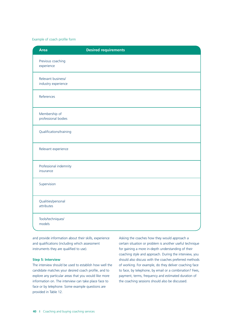#### Example of coach profile form

| <b>Area</b>                               | <b>Desired requirements</b> |
|-------------------------------------------|-----------------------------|
| Previous coaching<br>experience           |                             |
| Relevant business/<br>industry experience |                             |
| References                                |                             |
| Membership of<br>professional bodies      |                             |
| Qualifications/training                   |                             |
| Relevant experience                       |                             |
| Professional indemnity<br>insurance       |                             |
| Supervision                               |                             |
| Qualities/personal<br>attributes          |                             |
| Tools/techniques/<br>models               |                             |

 and provide information about their skills, experience and qualifications (including which assessment instruments they are qualified to use).

#### **Step 5: Interview**

 The interview should be used to establish how well the candidate matches your desired coach profile, and to information on. The interview can take place face to provided in Table 12. explore any particular areas that you would like more face or by telephone. Some example questions are

 certain situation or problem is another useful technique for gaining a more in-depth understanding of their coaching style and approach. During the interview, you should also discuss with the coaches preferred methods of working. For example, do they deliver coaching face payment, terms, frequency and estimated duration of Asking the coaches how they would approach a to face, by telephone, by email or a combination? Fees, the coaching sessions should also be discussed.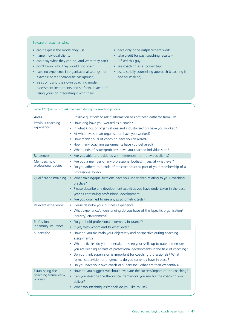#### Beware of coaches who:

- can't explain the model they use
- name individual clients
- can't say what they can do, and what they can't
- don't know who they would not coach
- have no experience in organisational settings (for example only a therapeutic background)
- insist on using their own coaching model, assessment instruments and so forth, instead of using yours or integrating it with theirs
- have only done outplacement work
- take credit for past coaching results 'I fixed this guy'
- see coaching as a 'power trip'
- use a strictly counselling approach (coaching is not counselling)

| Table 12: Questions to ask the coach during the selection process |                                                                                                                                                                                                                                                                                                                                                                                                                                                                                        |
|-------------------------------------------------------------------|----------------------------------------------------------------------------------------------------------------------------------------------------------------------------------------------------------------------------------------------------------------------------------------------------------------------------------------------------------------------------------------------------------------------------------------------------------------------------------------|
| Areas                                                             | Possible questions to ask if information has not been gathered from CVs                                                                                                                                                                                                                                                                                                                                                                                                                |
| Previous coaching<br>experience                                   | How long have you worked as a coach?<br>$\bullet$<br>In what kinds of organisations and industry sectors have you worked?<br>At what levels in an organisation have you worked?<br>How many hours of coaching have you delivered?<br>٠<br>How many coaching assignments have you delivered?<br>0<br>What kinds of issues/problems have you coached individuals on?<br>۰                                                                                                                |
| References                                                        | Are you able to provide us with references from previous clients?<br>$\bullet$                                                                                                                                                                                                                                                                                                                                                                                                         |
| Membership of<br>professional bodies                              | Are you a member of any professional bodies? If yes, at what level?<br>$\bullet$<br>Do you adhere to a code of ethics/conduct as part of your membership of a<br>۰<br>professional body?                                                                                                                                                                                                                                                                                               |
| Qualifications/training                                           | What training/qualifications have you undertaken relating to your coaching<br>$\bullet$<br>practice?<br>Please describe any development activities you have undertaken in the past<br>$\bullet$<br>year as continuing professional development.<br>Are you qualified to use any psychometric tests?                                                                                                                                                                                    |
| Relevant experience                                               | Please describe your business experience.<br>$\bullet$<br>What experience/understanding do you have of the [specific organisation/<br>industry] environment?                                                                                                                                                                                                                                                                                                                           |
| Professional<br>indemnity insurance                               | Do you hold professional indemnity insurance?<br>If yes, with whom and to what level?<br>$\bullet$                                                                                                                                                                                                                                                                                                                                                                                     |
| Supervision                                                       | How do you maintain your objectivity and perspective during coaching<br>0<br>assignments?<br>• What activities do you undertake to keep your skills up to date and ensure<br>you are keeping abreast of professional developments in the field of coaching?<br>Do you think supervision is important for coaching professionals? What<br>۰<br>formal supervision arrangements do you currently have in place?<br>Do you have your own coach or supervisor? What are their credentials? |
| Establishing the<br>coaching framework/<br>process                | How do you suggest we should evaluate the success/impact of the coaching?<br>$\bullet$<br>Can you describe the theoretical framework you use for the coaching you<br>$\bullet$<br>deliver?<br>What tools/techniques/models do you like to use?<br>$\bullet$                                                                                                                                                                                                                            |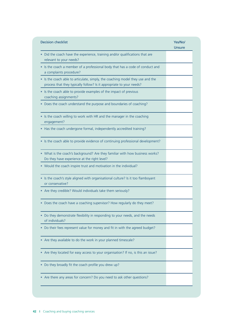| <b>Decision checklist</b>                                                                                                                              | Yes/No/<br>Unsure |
|--------------------------------------------------------------------------------------------------------------------------------------------------------|-------------------|
| Did the coach have the experience, training and/or qualifications that are<br>relevant to your needs?                                                  |                   |
| • Is the coach a member of a professional body that has a code of conduct and<br>a complaints procedure?                                               |                   |
| • Is the coach able to articulate, simply, the coaching model they use and the<br>process that they typically follow? Is it appropriate to your needs? |                   |
| Is the coach able to provide examples of the impact of previous<br>coaching assignments?                                                               |                   |
| Does the coach understand the purpose and boundaries of coaching?                                                                                      |                   |
| • Is the coach willing to work with HR and the manager in the coaching<br>engagement?                                                                  |                   |
| Has the coach undergone formal, independently accredited training?                                                                                     |                   |
| Is the coach able to provide evidence of continuing professional development?                                                                          |                   |
| • What is the coach's background? Are they familiar with how business works?<br>Do they have experience at the right level?                            |                   |
| Would the coach inspire trust and motivation in the individual?                                                                                        |                   |
| Is the coach's style aligned with organisational culture? Is it too flamboyant<br>or conservative?                                                     |                   |
| Are they credible? Would individuals take them seriously?                                                                                              |                   |
| Does the coach have a coaching supervisor? How regularly do they meet?                                                                                 |                   |
| Do they demonstrate flexibility in responding to your needs, and the needs<br>of individuals?                                                          |                   |
| Do their fees represent value for money and fit in with the agreed budget?                                                                             |                   |
| Are they available to do the work in your planned timescale?                                                                                           |                   |
| Are they located for easy access to your organisation? If no, is this an issue?                                                                        |                   |
| Do they broadly fit the coach profile you drew up?                                                                                                     |                   |
| Are there any areas for concern? Do you need to ask other questions?                                                                                   |                   |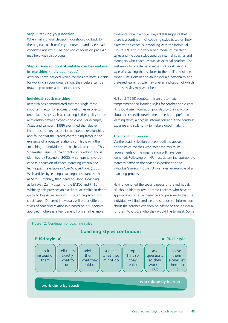#### **Step 6: Making your decision**

 the original coach profile you drew up and assess each candidate against it. The decision checklist on page 42 When making your decision, you should go back to may help with this process.

#### **Step 7: Draw up pool of suitable coaches and use in 'matching' (individual needs)**

 After you have decided which coaches are most suitable for working in your organisation, their details can be drawn up to form a pool of coaches.

#### **Individual–coach matching**

 Research has demonstrated that the single most one relationships such as coaching is the quality of the relationship between coach and client. For example, Assay and Lambert (1999) examined the relative importance of key factors in therapeutic relationships 'chemistry' issue is a major factor in coaching and is identified by Passmore (2008). A comprehensive but concise discussion of coach matching criteria and techniques is available in *Coaching at Work* (2006). With articles by leading coaching consultants such as Sam Humphrey, then head of Global Coaching at Unilever, Zulfi Hussain of the EMCC and Philip guide to key issues around this often neglected but approach, whereas a few benefit from a rather more important factor for successful outcomes in one-toand found that the largest contributing factor is the existence of a positive relationship. This is why the 'matching' of individuals to coaches is so critical. This Whiteley, this provides an excellent, accessible in-depth crucial area. Different individuals will prefer different styles of coaching relationship based on a supportive

 confrontational dialogue. Hay (2003) suggests that there is a continuum of coaching styles based on how (Figure 12). This is a very broad model of coaching styles and includes styles used by internal coaches and managers who coach, as well as external coaches. The vast majority of external coaches will work using a continuum. Considering an individual's personality and preferred learning style may give an indication of which of these styles may work best. directive the coach is in working with the individual style of coaching that is closer to the 'pull' end of the

 temperament and learning styles for coaches and clients.' learning styles, alongside information about the coaches' expertise and style to try to make a good 'match'. Hall et al (1999) suggest, 'it is an art to match HR should use information provided by the individual about their specific development needs and preferred

#### **The matching process**

 Via the coach selection process outlined above, a shortlist of coaches who meet the minimum requirements of the organisation will have been identified. Following on, HR must determine appropriate matches between the coach's expertise and the individual's needs. Figure 13 illustrates an example of a matching process.

 Having identified the specific needs of the individual, HR should identify two or three coaches who have an about the coaches can then be passed to the individual for them to choose who they would like to meet. Some appropriate skillset, experience and personality that the individual will find credible and supportive. Information

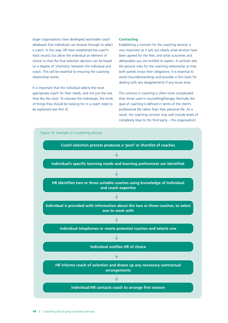larger organisations have developed searchable coach databases that individuals can browse through to select track record, but allow the individual an element of choice so that the final selection decision can be based coach. This will be essential to ensuring the coaching a coach. In this way, HR have established the coach's on a degree of 'chemistry' between the individual and relationship works.

 It is important that the individual selects the most appropriate coach for their needs, and not just the one of things they should be looking for in a coach need to they like the most. To educate the individuals, the kinds be explained (see Part 6).

#### **Contracting**

 Establishing a contract for the coaching services is very important as it sets out clearly what services have been agreed for the fees, and what outcomes and deliverables you are entitled to expect. A contract sets the ground rules for the coaching relationship so that both parties know their obligations. It is essential to avoid misunderstandings and provides a firm basis for dealing with any disagreements if any issues arise.

 The contract in coaching is often more complicated than those used in counselling/therapy. Normally the goal of coaching is defined in terms of the client's professional life rather than their personal life. As a result, the coaching contract may well include levels of complexity (due to the third party – the organisation)

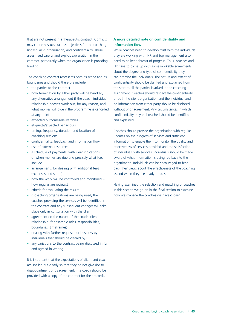may concern issues such as objectives for the coaching (individual vs organisation) and confidentiality. These areas need careful and explicit explanation in the that are not present in a therapeutic contract. Conflicts contract, particularly when the organisation is providing funding.

 The coaching contract represents both its scope and its boundaries and should therefore include:

- the parties to the contract
- how termination by either party will be handled, any alternative arrangement if the coach–individual relationship doesn't work out, for any reason, and what monies will owe if the programme is cancelled at any point
- expected outcomes/deliverables
- etiquette/expected behaviours
- timing, frequency, duration and location of coaching sessions
- confidentiality, feedback and information flow
- use of external resources
- a schedule of payments, with clear indications of when monies are due and precisely what fees include
- arrangements for dealing with additional fees (expenses and so on)
- how the work will be controlled and monitored how regular are reviews?
- criteria for evaluating the results
- if coaching organisations are being used, the coaches providing the services will be identified in the contract and any subsequent changes will take place only in consultation with the client
- agreement on the nature of the coach–client relationship (for example roles, responsibilities, boundaries, timeframes)
- dealing with further requests for business by individuals that should be cleared by HR
- any variations to the contract being discussed in full and agreed in writing.

 are spelled out clearly so that they do not give rise to disappointment or disagreement. The coach should be provided with a copy of the contract for their records. It is important that the expectations of client and coach

#### **A more detailed note on confidentiality and information flow**

 While coaches need to develop trust with the individuals they are working with, HR and top management also need to be kept abreast of progress. Thus, coaches and about the degree and type of confidentiality they confidentiality should be clarified and explained from assignment. Coaches should respect the confidentiality of both the client organisation and the individual and no information from either party should be disclosed without prior agreement. Any circumstances in which confidentiality may be breached should be identified HR have to come up with some workable agreements can promise the individuals. The nature and extent of the start to all the parties involved in the coaching and explained.

 Coaches should provide the organisation with regular updates on the progress of services and sufficient effectiveness of services provided and the satisfaction of individuals with services. Individuals should be made aware of what information is being fed back to the organisation. Individuals can be encouraged to feed back their views about the effectiveness of the coaching as and when they feel ready to do so. information to enable them to monitor the quality and

 in this section we go on in the final section to examine Having examined the selection and matching of coaches how we manage the coaches we have chosen.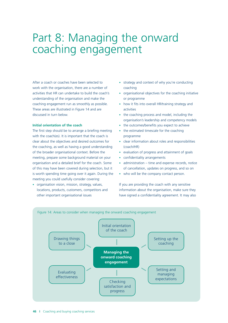### Part 8: Managing the onward coaching engagement

After a coach or coaches have been selected to work with the organisation, there are a number of activities that HR can undertake to build the coach's understanding of the organisation and make the coaching engagement run as smoothly as possible. These areas are illustrated in Figure 14 and are discussed in turn below.

#### **Initial orientation of the coach**

The first step should be to arrange a briefing meeting with the coach(es). It is important that the coach is clear about the objectives and desired outcomes for the coaching, as well as having a good understanding of the broader organisational context. Before the meeting, prepare some background material on your organisation and a detailed brief for the coach. Some of this may have been covered during selection, but it is worth spending time going over it again. During the meeting you could usefully consider covering:

 • organisation vision, mission, strategy, values, locations, products, customers, competitors and other important organisational issues

- strategy and context of why you're conducting coaching
- organisational objectives for the coaching initiative or programme
- how it fits into overall HR/training strategy and activities
- the coaching process and model, including the organisation's leadership and competency models
- $\bullet$ the outcomes/benefits you expect to achieve
- the estimated timescale for the coaching programme
- clear information about roles and responsibilities (coach/HR)
- evaluation of progress and attainment of goals
- $\bullet$ confidentiality arrangements
- $administration time and expense records, notice$ of cancellation, updates on progress, and so on
- who will be the company contact person.

If you are providing the coach with any sensitive information about the organisation, make sure they have signed a confidentiality agreement. It may also

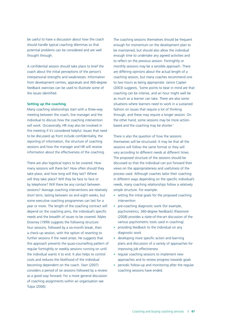be useful to have a discussion about how the coach should handle typical coaching dilemmas so that potential problems can be considered and are well thought through.

A confidential session should take place to brief the coach about the initial perceptions of the person's interpersonal strengths and weaknesses. Information from development centres, appraisals and 360-degree feedback exercises can be used to illustrate some of the issues identified.

#### **Setting up the coaching**

Many coaching relationships start with a three-way meeting between the coach, line manager and the individual to discuss how the coaching intervention will work. Occasionally, HR may also be involved in this meeting if it's considered helpful. Issues that need to be discussed up front include confidentiality, the reporting of information, the structure of coaching sessions and how the manager and HR will receive information about the effectiveness of the coaching.

There are also logistical topics to be covered. How many sessions will there be? How often should they take place, and how long will they last? Where will they take place? Will they be face to face or by telephone? Will there be any contact between sessions? Average coaching interventions are relatively short term, lasting between six and eight weeks, but some executive coaching programmes can last for a year or more. The length of the coaching contract will depend on the coaching aims, the individual's specific needs and the breadth of issues to be covered. Myles Downey (1999) suggests the following structure: four sessions, followed by a six-month break, then a check-up session, with the option of reverting to further sessions if the need arises. He suggests that this approach prevents the quasi-counselling pattern of regular fortnightly or weekly sessions running on until the individual wants it to end. It also helps to control costs and reduces the likelihood of the individual becoming dependent on the coach. Starr (2007) considers a period of six sessions followed by a review as a good way forward. For a more general discussion of coaching assignments within an organisation see Tulpa (2006).

The coaching sessions themselves should be frequent enough for momentum on the development plan to be maintained, but should also allow the individual enough time to undertake any agreed activities and to reflect on the previous session. Fortnightly or monthly sessions may be a sensible approach. There are differing opinions about the actual length of a coaching session, but many coaches recommend one to two hours as being appropriate. Janice Caplan (2003) suggests, 'Some points to bear in mind are that coaching can be intense, and an hour might well be as much as a learner can take. There are also some situations where learners need to work in a sustained fashion on issues that require a lot of thinking through, and these may require a longer session. On the other hand, some sessions may be more actionbased and the coaching may be shorter.'

There is also the question of how the sessions themselves will be structured. It may be that all the sessions will follow the same format or they will vary according to different needs at different times. The proposed structure of the sessions should be discussed so that the individual can put forward their views on the appropriateness and usefulness of the process used. Although coaches tailor their coaching in different ways depending on the specific individual's needs, many coaching relationships follow a relatively simple structure. For example:

- setting the initial goals for the proposed coaching intervention
- pre-coaching diagnostic work (for example, psychometrics, 360-degree feedback) (Passmore (2008) provides a state-of-the-art discussion of the various psychometric tools used in coaching)
- providing feedback to the individual on any diagnostic work
- $\bullet$ developing more specific action and learning plans and discussion of a variety of approaches for improving job effectiveness
- regular coaching sessions to implement new approaches and to review progress towards goals
- $\bullet$ periodic follow-up and monitoring after the regular coaching sessions have ended.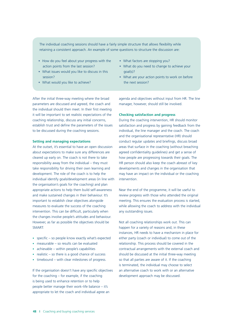The individual coaching sessions should have a fairly simple structure that allows flexibility while retaining a consistent approach. An example of some questions to structure the discussion are:

- • How do you feel about your progress with the action points from the last session?
- • What issues would you like to discuss in this session?
- What would you like to achieve?
- What factors are stopping you?
- What do you need to change to achieve your goal(s)?
- What are your action points to work on before the next session?

After the initial three-way meeting where the broad parameters are discussed and agreed, the coach and the individual should then meet. In their first meeting it will be important to set realistic expectations of the coaching relationship, discuss any initial concerns, establish trust and define the parameters of the issues to be discussed during the coaching sessions.

#### **Setting and managing expectations**

At the outset, it's essential to have an open discussion about expectations to make sure any differences are cleared up early on. The coach is not there to take responsibility away from the individual – they must take responsibility for driving their own learning and development. The role of the coach is to help the individual identify goals/development areas (in line with the organisation's goals for the coaching) and plan appropriate actions to help them build self-awareness and make sustained changes in their behaviour. It's important to establish clear objectives alongside measures to evaluate the success of the coaching intervention. This can be difficult, particularly when the changes involve people's attitudes and behaviour. However, as far as possible the objectives should be SMART:

- specific so people know exactly what's expected
- measurable so results can be evaluated
- achievable within people's capabilities
- realistic so there is a good chance of success
- timebound with clear milestones of progress.

If the organisation doesn't have any specific objectives for the coaching – for example, if the coaching is being used to enhance retention or to help people better manage their work–life balance – it's appropriate to let the coach and individual agree an

agenda and objectives without input from HR. The line manager, however, should still be involved.

#### **Checking satisfaction and progress**

During the coaching intervention, HR should monitor satisfaction and progress by gaining feedback from the individual, the line manager and the coach. The coach and the organisational representative (HR) should conduct regular updates and briefings, discuss broad areas that surface in the coaching (without breaching agreed confidentiality guidelines) and get a sense of how people are progressing towards their goals. The HR person should also keep the coach abreast of key developments and changes in the organisation that may have an impact on the individual or the coaching intervention.

Near the end of the programme, it will be useful to review progress with those who attended the original meeting. This ensures the evaluation process is started, while allowing the coach to address with the individual any outstanding issues.

Not all coaching relationships work out. This can happen for a variety of reasons and, in these instances, HR needs to have a mechanism in place for either party (coach or individual) to come out of the relationship. This process should be covered in the contractual arrangements with the external coach and should be discussed at the initial three-way meeting so that all parties are aware of it. If the coaching is terminated, the individual may choose to select an alternative coach to work with or an alternative development approach may be discussed.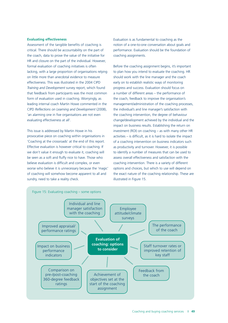#### **Evaluating effectiveness**

 critical. There should be accountability on the part of the coach, data to prove the value of the initiative for HR and closure on the part of the individual. However, formal evaluation of coaching initiatives is often on little more than anecdotal evidence to measure effectiveness. This was illustrated in the 2004 CIPD *Training and Development* survey report, which found that feedback from participants was the most common form of evaluation used in coaching. Worryingly, as leading internal coach Martin Howe commented in the 'an alarming one in five organisations are not even Assessment of the tangible benefits of coaching is lacking, with a large proportion of organisations relying CIPD *Reflections on Learning and Development* (2008), evaluating effectiveness at all'.

 This issue is addressed by Martin Howe in his 'Coaching at the crossroads' at the end of this report. Effective evaluation is however critical to coaching. If we don't value it enough to evaluate it, coaching will be seen as a soft and fluffy nice to have. Those who believe evaluation is difficult and complex, or even worse who believe it is unnecessary because the 'magic' of coaching will somehow become apparent to all and sundry, need to take a reality check. provocative piece on coaching within organisations in

 Evaluation is as fundamental to coaching as the notion of a one-to-one conversation about goals and performance. Evaluation should be the foundation of coaching assignments.

 to plan how you intend to evaluate the coaching. HR should work with the line manager and the coach early on to establish realistic ways of monitoring the coach, feedback to improve the organisation's management/administration of the coaching processes, the coaching intervention, the degree of behaviour impact on business results. Establishing the return on investment (ROI) on coaching – as with many other HR activities – is difficult, as it is hard to isolate the impact of a coaching intervention on business indicators such to identify a number of measures that can be used to assess overall effectiveness and satisfaction with the coaching intervention. There is a variety of different options and choices, but which to use will depend on the exact nature of the coaching relationship. These are Before the coaching assignment begins, it's important progress and success. Evaluation should focus on a number of different areas – the performance of the individual's and line manager's satisfaction with change/development achieved by the individual and the as productivity and turnover. However, it is possible illustrated in Figure 15.

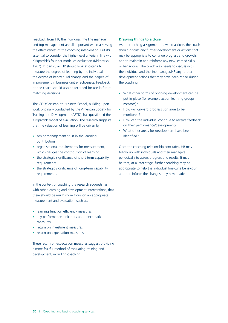Feedback from HR, the individual, the line manager and top management are all important when assessing the effectiveness of the coaching intervention. But it's essential to consider the higher-level criteria in line with Kirkpatrick's four-tier model of evaluation (Kirkpatrick 1967). In particular, HR should look at criteria to measure the degree of learning by the individual, the degree of behavioural change and the degree of improvement in business unit effectiveness. Feedback on the coach should also be recorded for use in future matching decisions.

 The CIPD/Portsmouth Business School, building upon Training and Development (ASTD), has questioned the Kirkpatrick model of evaluation. The research suggests work originally conducted by the American Society for that the valuation of learning will be driven by:

- senior management trust in the learning contribution
- organisational requirements for measurement, which gauges the contribution of learning
- the strategic significance of short-term capability requirements
- the strategic significance of long-term capability requirements.

 In the context of coaching the research suggests, as with other learning and development interventions, that there should be much more focus on an appropriate measurement and evaluation, such as:

- learning function efficiency measures
- key performance indicators and benchmark measures
- return on investment measures
- return on expectation measures.

 These return on expectation measures suggest providing a more fruitful method of evaluating training and development, including coaching.

#### **Drawing things to a close**

 As the coaching assignment draws to a close, the coach should discuss any further development or actions that may be appropriate to continue progress and growth, and to maintain and reinforce any new learned skills or behaviours. The coach also needs to discuss with the individual and the line manager/HR any further development actions that may have been raised during the coaching:

- What other forms of ongoing development can be put in place (for example action learning groups, mentors)?
- How will onward progress continue to be monitored?
- How can the individual continue to receive feedback on their performance/development?
- What other areas for development have been identified?

 follow up with individuals and their managers periodically to assess progress and results. It may be that, at a later stage, further coaching may be appropriate to help the individual fine-tune behaviour Once the coaching relationship concludes, HR may and to reinforce the changes they have made.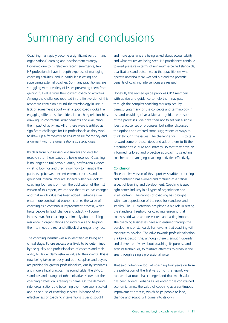### Summary and conclusions

 Coaching has rapidly become a significant part of many organisations' learning and development strategy. However, due to its relatively recent emergence, few HR professionals have in-depth expertise of managing coaching activities, and in particular selecting and supervising external coaches. So, many practitioners are struggling with a variety of issues preventing them from gaining full value from their current coaching activities. Among the challenges reported in the first version of this report are confusion around the terminology in use, a lack of agreement about what a good coach looks like, engaging different stakeholders in coaching relationships, drawing up contractual arrangements and evaluating significant challenges for HR professionals as they work to draw up a framework to ensure value for money and alignment with the organisation's strategic goals. the impact of activities. All of these were identified as

 It's clear from our subsequent surveys and detailed research that these issues are being resolved. Coaching what to look for and they know how to manage the grounded internal resource. Indeed, when we look at enter more constrained economic times the value of coaching as a continuous improvement process, which into its own. For coaching is ultimately about building resilience in organisations and individuals and helping is no longer an unknown quantity, professionals know partnership between expert external coaches and coaching four years on from the publication of the first version of this report, we can see that much has changed and that much value has been added. Perhaps as we helps people to lead, change and adapt, will come them to meet the real and difficult challenges they face.

 The coaching industry was also identified as being at a critical stage. Future success was likely to be determined by the quality and professionalism of coaches and their ability to deliver demonstrable value to their clients. This is now being taken seriously and both suppliers and buyers are pushing for greater professionalism, quality standards standards and a range of other initiatives show that the side, organisations are becoming ever more sophisticated about their use of coaching services. Evidence of the effectiveness of coaching interventions is being sought and more ethical practice. The round table, the EMCC coaching profession is raising its game. On the demand

 and more questions are being asked about accountability and what returns are being seen. HR practitioners continue to exert pressure in terms of minimum expected standards, qualifications and outcomes, so that practitioners who benefits of coaching interventions are realised. operate unethically are weeded out and the potential

 Hopefully this revised guide provides CIPD members with advice and guidance to help them navigate demystifying many of the concepts and terminology in use and providing clear advice and guidance on some of the processes. We have tried not to set out a single 'best practice' set of processes, but rather discussed the options and offered some suggestions of ways to forward some of these ideas and adapt them to fit their informed, tailored and proactive approach to selecting through the complex coaching marketplace, by think through the issues. The challenge for HR is to take organisation's culture and strategy, so that they have an coaches and managing coaching activities effectively.

#### **Conclusion**

 Since the first version of this report was written, coaching and mentoring has evolved and matured as a critical in all contexts. The growth of coaching has brought with it an appreciation of the need for standards and stability. The HR profession has played a big role in setting the standards threshold for coaching, ensuring that The coaching businesses have also ensured through the continue to develop. The drive towards professionalisation even its techniques, to frustrate attempts to organise the area through a single professional voice. aspect of learning and development. Coaching is used right across industry in all types of organisation and coaches add value and deliver real and lasting impact. development of standards frameworks that coaching will is a key aspect of this, although there is enough diversity and difference of view about coaching, its purpose and

 That said, when we look at coaching four years on from the publication of the first version of this report, we can see that much has changed and that much value has been added. Perhaps as we enter more constrained change and adapt, will come into its own. economic times, the value of coaching as a continuous improvement process, which helps people to lead,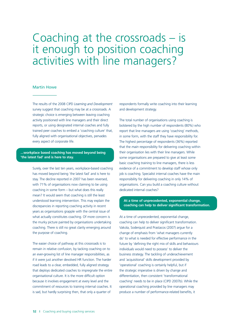### Coaching at the crossroads – is it enough to position coaching activities with line managers?

#### Martin Howe

 strategic choice is emerging between leaving coaching activity positioned with line managers and their direct reports, or using designated internal coaches and fully The results of the 2008 CIPD *Learning and Development*  survey suggest that coaching may be at a crossroads. A trained peer coaches to embed a 'coaching culture' that, fully aligned with organisational objectives, pervades every aspect of corporate life.

#### **- ...workplace based coaching has moved beyond being 'the latest fad' and is here to stay.**

 Surely, over the last ten years, workplace-based coaching stay. The decline reported in 2007 has been reversed, with 71% of organisations now claiming to be using coaching. There is still no great clarity emerging around the purpose of coaching. has moved beyond being 'the latest fad' and is here to coaching in some form – but what does this really mean? It would seem that coaching is still the least understood learning intervention. This may explain the discrepancies in reporting coaching activity in recent years as organisations grapple with the central issue of what actually constitutes coaching. Of more concern is the murky picture painted by organisations undertaking

 The easier choice of pathway at this crossroads is to remain in relative confusion, by tacking coaching on to an ever-growing list of line manager responsibilities, as road leads to a clear, embedded, fully aligned strategy that deploys dedicated coaches to impregnate the entire organisational culture. It is the more difficult option because it involves engagement at every level and the if it were just another devolved HR function. The harder commitment of resources to training internal coaches. It is sad, but hardly surprising then, that only a quarter of

 respondents formally write coaching into their learning and development strategy.

 The total number of organisations using coaching is bolstered by the high number of respondents (80%) who report that line managers are using 'coaching' methods, that the *main* responsibility for delivering coaching within their organisation lies with their line managers. While some organisations are prepared to give at least some basic coaching training to line managers, there is less responsibility for delivering coaching in only 14% of organisations. Can you build a coaching culture without in some form, with the staff they have responsibility for. The highest percentage of respondents (36%) reported evidence of a commitment to develop staff whose only job is coaching. Specialist internal coaches have the main dedicated internal coaches?

**At a time of unprecedented, exponential change, coaching can help to deliver significant transformation.** 

 Vakola, Soderquist and Prastacos (2007) argue for a change of emphasis from 'what managers currently business strategy. The tackling of underachievement and 'acquisitional' skills development provided by 'operational' coaching is certainly helpful, but if the strategic imperative is driven by change and differentiation, then consistent 'transformational operational coaching provided by line managers may At a time of unprecedented, exponential change, coaching can help to deliver significant transformation. do' to what is needed for effective performance in the future by 'defining the right mix of skills and behaviours individuals would need to possess' to deliver the coaching' needs to be in place (CIPD 2007b). While the produce a number of performance-related benefits, it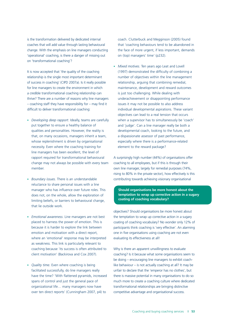is the transformation delivered by dedicated internal coaches that will add value through lasting behavioural change. With the emphasis on line managers conducting 'operational' coaching, is there a danger of missing out on 'transformational coaching'?

 relationship is the single most important determinant of success in coaching' (CIPD 2007a). Is it really possible a credible transformational coaching relationship can thrive? There are a number of reasons why line managers – coaching staff they have responsibility for – may find it It is now accepted that 'the quality of the coaching for line managers to create the environment in which difficult to deliver transformational coaching:

- • *Developing deep rapport*. Ideally, teams are carefully put together to ensure a healthy balance of qualities and personalities. However, the reality is that, on many occasions, managers inherit a team, whose replenishment is driven by organisational necessity. Even where the coaching training for line managers has been excellent, the level of rapport required for transformational behavioural change may not always be possible with every team member.
- • *Boundary issues*. There is an understandable reluctance to share personal issues with a line manager who has influence over future roles. This does not, on the whole, allow the exploration of limiting beliefs, or barriers to behavioural change, that lie outside work.
- • *Emotional awareness*. Line managers are not best placed to harness the power of emotion. This is because it is harder to explore the link between emotion and motivation with a direct report, where an 'emotional' response may be interpreted as weakness. This link is particularly relevant to coaching because 'its success is often attributed to client motivation' (Backirova and Cox 2007).
- • *Quality time*. Even where coaching is being facilitated successfully, do line managers really have the time? 'With flattened pyramids, increased spans of control and just the general pace of organizational life… many managers now have over ten direct reports' (Cunningham 2007, p4) to

coach. Clutterbuck and Megginson (2005) found that 'coaching behaviours tend to be abandoned in the face of more urgent, if less important, demands on (top) managers' time' (p232).

• *Mixed motives*. Ten years ago Leat and Lovell (1997) demonstrated the difficulty of combining a number of objectives within the line management relationship, arguing that combining remedial, maintenance, development and reward outcomes is just too challenging. While dealing with underachievement or disappointing performance issues it may not be possible to also address individual developmental aspirations. These variant objectives can lead to a real tension that occurs when a supervisor has to simultaneously be 'coach' and 'judge'. Can a line manager really be both a developmental coach, looking to the future, and a dispassionate assessor of past performance, especially where there is a performance-related element to the reward package?

 A surprisingly high number (44%) of organisations offer coaching to all employees, but if this is through their own line manager, largely for remedial purposes (74%, rising to 80% in the private sector), how effectively is this contributing towards achieving visionary organisational

#### **temptation to wrap up corrective action in a sugary Should organisations be more honest about the coating of coaching vocabulary?**

 objectives? Should organisations be more honest about the temptation to wrap up corrective action in a sugary coating of coaching vocabulary? No wonder only 12% of one in five organisations using coaching are not even evaluating its effectiveness at all! participants think coaching is 'very effective'. An alarming

 Why is there an apparent unwillingness to evaluate coaching? Is it because what some organisations seem to like behaviour – is not actually coaching at all? It may be there is massive potential in many organisations to do so transformational relationships are bringing distinctive be doing – encouraging line managers to exhibit coachunfair to declare that the 'emperor has no clothes', but much more to create a coaching culture where dedicated competitive advantage and organisational success.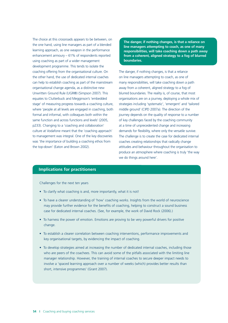The choice at this crossroads appears to be between, on learning approach, as one weapon in the performance using coaching as part of a wider management development programme. This tends to isolate the coaching offering from the organisational culture. On the other hand, the use of dedicated internal coaches organisational change agenda, as a distinctive new equates to Clutterbuck and Megginson's 'embedded where 'people at all levels are engaged in coaching, both same function and across functions and levels' (2005, was 'the importance of building a coaching ethos from the one hand, using line managers as part of a blended enhancement armoury – 61% of respondents reported can help to establish coaching as part of the mainstream Unwritten Ground Rule (UGR®) (Simpson 2007). This stage' of measuring progress towards a coaching culture, formal and informal, with colleagues both within the p233). Changing to a 'coaching and collaboration' culture at Vodafone meant that the 'coaching approach' to management was integral. One of the key discoveries the top-down' (Eaton and Brown 2002).

 **The danger, if nothing changes, is that a reliance on responsibilities, will take coaching down a path away from a coherent, aligned strategy to a fog of blurred line managers attempting to coach, as one of many boundaries.** 

 The danger, if nothing changes, is that a reliance many responsibilities, will take coaching down a path away from a coherent, aligned strategy to a fog of strategies including 'systematic', 'emergent' and 'tailored at a time of unprecedented change and increasing we do things around here'. on line managers attempting to coach, as one of blurred boundaries. The reality is, of course, that most organisations are on a journey, deploying a whole mix of middle ground' (CIPD 2007a). The direction of the journey depends on the quality of response to a number of key challenges faced by the coaching community demands for flexibility, where only the versatile survive. The challenge is to create the case for dedicated internal coaches creating relationships that radically change attitudes and behaviour throughout the organisation to produce an atmosphere where coaching is truly 'the way

#### **Implications for practitioners**

Challenges for the next ten years

- To clarify what coaching is and, more importantly, what it is not!
- To have a clearer understanding of 'how' coaching works. Insights from the world of neuroscience may provide further evidence for the benefits of coaching, helping to construct a sound business case for dedicated internal coaches. (See, for example, the work of David Rock (2006).)
- To harness the power of emotion. Emotions are proving to be very powerful drivers for positive change.
- To establish a clearer correlation between coaching interventions, performance improvements and key organisational targets, by evidencing the impact of coaching.
- To develop strategies aimed at increasing the number of dedicated internal coaches, including those who are peers of the coachees. This can avoid some of the pitfalls associated with the limiting line manager relationship. However, the training of internal coaches to secure deeper impact needs to involve a 'spaced learning approach over a number of weeks (which) provides better results than short, intensive programmes' (Grant 2007).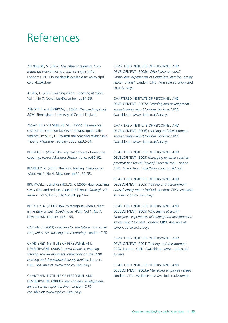### References

ANDERSON, V. (2007) *The value of learning: from return on investment to return on expectation*. London: CIPD. Online details available at: www.cipd. co.uk/bookstore

ARNEY, E. (2006) Guiding vision. *Coaching at Work*. Vol 1, No 7, November/December. pp34–36.

 *2004*. Birmingham: University of Central England. ARNOTT, J. and SPARROW, J. (2004) *The coaching study* 

 ASSAY, T.P. and LAMBERT, M.J. (1999) The empirical case for the common factors in therapy: quantitative *Training Magazine*, February 2003. pp32–34. findings. In: SILLS, C. Towards the coaching relationship.

BERGLAS, S. (2002) The very real dangers of executive coaching. *Harvard Business Review*. June. pp86–92.

BLAKELEY, K. (2006) The blind leading. *Coaching at Work*. Vol 1, No 4, May/June. pp32, 34–35.

BRUMWELL, I. and REYNOLDS, P. (2006) How coaching saves time and reduces costs at BT Retail. *Strategic HR Review*. Vol 5, No 5, July/August. pp20–23.

BUCKLEY, A. (2006) How to recognise when a client is mentally unwell. *Coaching at Work*. Vol 1, No 7, November/December. pp54–55.

 CAPLAN, J. (2003) *Coaching for the future: how smart companies use coaching and mentoring.* London: CIPD.

CHARTERED INSTITUTE OF PERSONNEL AND DEVELOPMENT. (2008a) *Latest trends in learning, training and development: reflections on the 2008 learning and development survey [online]*. London: CIPD. Available at: www.cipd.co.uk/surveys

CHARTERED INSTITUTE OF PERSONNEL AND DEVELOPMENT. (2008b) *Learning and development: annual survey report [online]*. London: CIPD. Available at: www.cipd.co.uk/surveys

CHARTERED INSTITUTE OF PERSONNEL AND DEVELOPMENT. (2008c) *Who learns at work? Employees' experiences of workplace learning: survey report [online]*. London: CIPD. Available at: www.cipd. co.uk/surveys

CHARTERED INSTITUTE OF PERSONNEL AND DEVELOPMENT. (2007c) *Learning and development: annual survey report [online]*. London: CIPD. Available at: www.cipd.co.uk/surveys

CHARTERED INSTITUTE OF PERSONNEL AND DEVELOPMENT. (2006) *Learning and development: annual survey report [online]*. London: CIPD. Available at: www.cipd.co.uk/surveys

CHARTERED INSTITUTE OF PERSONNEL AND DEVELOPMENT. (2005) *Managing external coaches: practical tips for HR [online]*. Practical tool. London: CIPD. Available at: http://www.cipd.co.uk/tools

CHARTERED INSTITUTE OF PERSONNEL AND DEVELOPMENT. (2005) *Training and development: annual survey report [online]*. London: CIPD. Available at: www.cipd.co.uk/surveys

CHARTERED INSTITUTE OF PERSONNEL AND DEVELOPMENT. (2005) *Who learns at work? Employees' experiences of training and development: survey report [online]*. London: CIPD. Available at: www.cipd.co.uk/surveys

CHARTERED INSTITUTE OF PERSONNEL AND DEVELOPMENT. (2004) *Training and development 2004*. London: CIPD. Available at www.cipd.co.uk/ surveys

CHARTERED INSTITUTE OF PERSONNEL AND DEVELOPMENT. (2003a) *Managing employee careers*. London: CIPD. Available at www.cipd.co.uk/surveys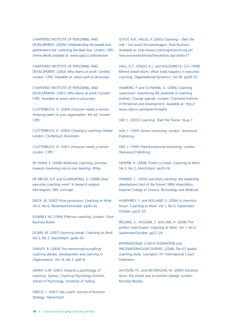DEVELOPMENT. (2003b) *Understanding the people and performance link: unlocking the black box*. London: CIPD. CHARTERED INSTITUTE OF PERSONNEL AND Online details available at: www.cipd.co.uk/bookstore

CHARTERED INSTITUTE OF PERSONNEL AND DEVELOPMENT. (2002) *Who learns at work? [online]*. London: CIPD. Available at: www.cipd.co.uk/surveys

CHARTERED INSTITUTE OF PERSONNEL AND DEVELOPMENT. (2001) *Who learns at work?* London: CIPD. Available at www.cipd.co.uk/surveys

CLUTTERBUCK, D. (2004) *Everyone needs a mentor: fostering talent in your organisation*. 4th ed. London: CIPD.

CLUTTERBUCK, D. (2003) *Creating a coaching climate*. London: Clutterbuck Associates.

CLUTTERBUCK, D. (2001) *Everyone needs a mentor*. London: CIPD.

DE HAAN, E. (2008) *Relational Coaching: journeys towards mastering one-to-one learning*. Wiley.

DE MEUSE, K.P. and GUANGRONG, D. (2008) *Does executive coaching work? A research analysis*. Minneapolis, MN: Lominger.

DIECK, M. (2007) Prize possession. *Coaching at Work*. Vol 2, No 6, November/December. pp40–42.

DOWNEY, M. (1999) *Effective coaching*. London: Orion Business Books.

DOWN, M. (2007) Storming ahead. *Coaching at Work*. Vol 2, No 2, March/April. pp40–43.

GARVEY, B. (2004) The mentoring/counselling/ coaching debate. *Development and Learning in Organizations*. Vol 18, No 2. pp6–8.

GRANT, A.M. (2001) *Towards a psychology of coaching*. Sydney: Coaching Psychology Institute, School of Psychology, University of Sydney.

GRECO, J. (2001) Hey coach! *Journal of Business Strategy*. March/April.

GUEST, A.B., WILLIS, P. (2003) *Coaching – Take the ride – but avoid the bandwagon*. Total Business. Available at: http://www.coachingnetwork.org.uk/ resourcecentre/articles/ViewArticle.asp?artId=77

HALL, D.T., OTAZO, K.L. and HOLLENBECK, G.P. (1999) Behind closed doors: What really happens in executive coaching. *Organizational Dynamics*. Vol 28. pp39–53.

HAWKINS, P. and SCHWENK, G. (2006) *Coaching supervision: maximising the potential of coaching [online]*. Change agenda. London: Chartered Institute of Personnel and Development. Available at: http:// www.cipd.co.uk/researchinsights

HAY, J. (2003) Coaching. *Train the Trainer*. Issue 7.

HAY, J. (1997) *Action mentoring*. London: Sherwood Publishing.

HAY, J. (1995) *Transformational mentoring*. London: Sherwood Publishing.

HILPERN, K. (2008) Three's a crowd. *Coaching at Work*. Vol 3, No 2, March/April. pp20–26.

HORNER, C. (2002) *Executive coaching: the leadership development tool of the future?* MBA dissertation, Imperial College of Science, Technology and Medicine.

HUMPHREY, S. and HOLLAND, S. (2006) A chemistry lesson. *Coaching at Work*. Vol 1, No 6, September/ October. pp22–25.

IRELAND, S., HUSSAIN, Z. and LAW, H. (2006) The perfect matchmaker. *Coaching at Work*. Vol 1, No 6, September/October. pp27–29.

INTERNATIONAL COACH FEDERATION and PRICEWATERHOUSECOOPERS. (2008) *The ICF global coaching study*. Lexington, KY: International Coach Federation.

JACKSON, P.Z. and MCKERGOW, M. (2005) *Solutions focus: the simple way to positive change*. London: Nicholas Brealey.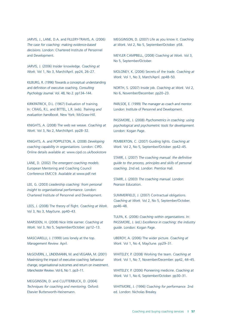JARVIS, J., LANE, D.A. and FILLERY-TRAVIS, A. (2006) *The case for coaching: making evidence-based decisions*. London: Chartered Institute of Personnel and Development.

JARVIS, J. (2006) Insider knowledge. *Coaching at Work*. Vol 1, No 3, March/April. pp24, 26–27.

KILBURG, R. (1996) Towards a conceptual understanding and definition of executive coaching. *Consulting Psychology Journal*. Vol. 48, No 2. pp134–144.

KIRKPATRICK, D.L. (1967) Evaluation of training. In: CRAIG, R.L. and BITTEL, L.R. (eds). *Training and evaluation handbook*. New York: McGraw-Hill.

KNIGHTS, A. (2008) The web we weave. *Coaching at Work*. Vol 3, No 2, March/April. pp28–32.

KNIGHTS, A. and POPPLETON, A. (2008) *Developing coaching capability in organisations*. London: CIPD. Online details available at: www.cipd.co.uk/bookstore

LANE, D. (2002) *The emergent coaching models.*  European Mentoring and Coaching Council Conference EMCC9. Available at www.pdf.net

LEE, G. (2003) *Leadership coaching: from personal insight to organisational performance*. London: Chartered Institute of Personnel and Development.

LEES, J. (2008) The theory of flight. *Coaching at Work*. Vol 3, No 3, May/June. pp40–43.

MARSDEN, H. (2008) Nice little earner. *Coaching at Work*. Vol 3, No 5, September/October. pp12–13.

MASCIARELLI, J. (1999) Less lonely at the top. *Management Review.* April.

 McGOVERN, J., LINDEMANN, M. and VEGARA, M. (2001) change, organisational outcomes and return on investment. Maximising the impact of executive coaching: behaviour *Manchester Review*. Vol 6, No 1. pp3–11.

MEGGINSON, D. and CLUTTERBUCK, D. (2004) *Techniques for coaching and mentoring*. Oxford: Elsevier Butterworth-Heinemann.

MEGGINSON, D. (2007) Life as you know it. *Coaching at Work*. Vol 2, No 5, September/October. p58.

MEYLER CAMPBELL, (2008) *Coaching at Work*. Vol 3, No 5, September/October.

MOLONEY, K. (2006) Secrets of the trade. *Coaching at Work*. Vol 1, No 3, March/April. pp48–50.

NORTH, S. (2007) Inside job. *Coaching at Work*. Vol 2, No 6, November/December. pp20–23.

PARLSOE, E. (1999) *The manager as coach and mentor*. London: Institute of Personnel and Development.

PASSMORE, J. (2008) *Psychometrics in coaching: using psychological and psychometric tools for development*. London: Kogan Page.

PEMBERTON, C. (2007) Guiding lights. *Coaching at Work*. Vol 2, No 5, September/October. pp42–45.

STARR, J. (2007) *The coaching manual: the definitive guide to the process, principles and skills of personal coaching*. 2nd ed. London: Prentice Hall.

STARR, J. (2003) *The coaching manual*. London: Pearson Education.

SUMMERFIELD, J. (2007) Contractual obligations. *Coaching at Work*. Vol 2, No 5, September/October. pp46–48.

TULPA, K. (2006) *Coaching within organisations*. In: PASSMORE, J. (ed.) *Excellence in coaching: the industry guide*. London: Kogan Page.

UBEROY, A. (2006) The wider picture. *Coaching at Work*. Vol 1, No 4, May/June. pp29–31.

WHITELEY, P. (2008) Working the team. *Coaching at Work*. Vol 1, No 7, November/December. pp42, 44–45.

WHITELEY, P. (2006) Pioneering medicine. *Coaching at Work*. Vol 1, No 6, September/October. pp30–31.

WHITMORE, J. (1996) *Coaching for performance*. 2nd ed. London: Nicholas Brealey.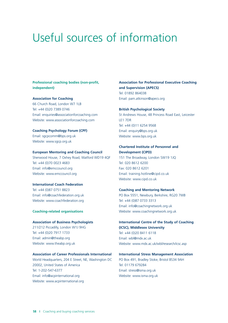### Useful sources of information

#### **Professional coaching bodies (non-profit, independent)**

#### **Association for Coaching**

66 Church Road, London W7 1LB Tel: +44 (0)20 7389 0746 Email: enquiries@associationforcoaching.com Website: www.associationforcoaching.com

**Coaching Psychology Forum (CPF)**  Email: sgcpcomm@bps.org.uk Website: www.sgcp.org.uk

#### **European Mentoring and Coaching Council**

Sherwood House, 7 Oxhey Road, Watford WD19 4QF Tel: +44 (0)70 0023 4683 Email: info@emccouncil.org Website: www.emccouncil.org

#### **International Coach Federation**

Tel: +44 (0)87 0751 8823 Email: info@coachfederation.org.uk Website: www.coachfederation.org

#### **Coaching-related organisations**

#### **Association of Business Psychologists**

 211/212 Piccadilly, London W1J 9HG Tel: +44 (0)20 7917 1733 Email: admin@theabp.org Website: www.theabp.org.uk

#### **Association of Career Professionals International**

 World Headquarters, 204 E Street, NE, Washington DC 20002, United States of America Tel: 1-202-547-6377 Email: info@acpinternational.org Website: www.acpinternational.org

### **Association for Professional Executive Coaching and Supervision (APECS)**  Tel: 01892 864038

Email: pam.atkinson@apecs.org

#### **British Psychological Society**

St Andrews House, 48 Princess Road East, Leicester LE1 7DR Tel: +44 (0)11 6254 9568 Email: enquiry@bps.org.uk Website: www.bps.org.uk

#### **Chartered Institute of Personnel and Development (CIPD)**

151 The Broadway, London SW19 1JQ Tel: 020 8612 6200 Fax: 020 8612 6201 Email: training.hotline@cipd.co.uk Website: www.cipd.co.uk

#### **Coaching and Mentoring Network**

 PO Box 5551, Newbury, Berkshire, RG20 7WB Tel: +44 (0)87 0733 3313 Email: info@coachingnetwork.org.uk Website: www.coachingnetwork.org.uk

### **International Centre of the Study of Coaching (ICSC), Middlesex University**

Tel: +44 (0)20 8411 6118 Email: wbl@mdx.ac.uk Website: www.mdx.ac.uk/wbl/research/icsc.asp

#### **International Stress Management Association**

PO Box 491, Bradley Stoke, Bristol BS34 9AH Tel: 01179 679284 Email: stress@isma.org.uk Website: www.isma.org.uk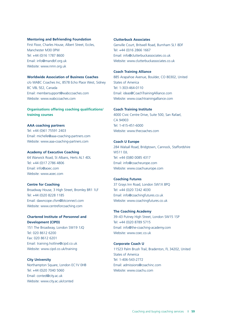#### **Mentoring and Befriending Foundation**

 First Floor, Charles House, Albert Street, Eccles, Manchester M30 0PW Tel: +44 (0)16 1787 8600 Email: info@mandbf.org.uk Website: www.nmn.org.uk

#### **Worldwide Association of Business Coaches**

 c/o WABC Coaches Inc, 8578 Echo Place West, Sidney BC V8L 5E2, Canada Email: membersupport@wabccoaches.com Website: www.wabccoaches.com

#### **Organisations offering coaching qualifications/ training courses**

#### **AAA coaching partners**

Tel: +44 (0)61 75591 2403 Email: michelle@aaa-coaching-partners.com Website: www.aaa-coaching-partners.com

#### **Academy of Executive Coaching**

64 Warwick Road, St Albans, Herts AL1 4DL Tel: +44 (0)17 2786 4806 Email: info@aoec.com Website: www.aoec.com

#### **Centre for Coaching**

Broadway House, 3 High Street, Bromley BR1 1LF Tel: +44 (0)20 8228 1185 Email: dawncope.cfsm@btconnect.com Website: www.centreforcoaching.com

#### **Chartered Institute of Personnel and Development (CIPD)**

151 The Broadway, London SW19 1JQ Tel: 020 8612 6200 Fax: 020 8612 6201 Email: training.hotline@cipd.co.uk Website: www.cipd.co.uk/training

#### **City University**

Northampton Square, London EC1V 0HB Tel: +44 (0)20 7040 5060 Email: conted@city.ac.uk Website: www.city.ac.uk/conted

#### **Clutterbuck Associates**

Genville Court, Britwell Road, Burnham SL1 8DF Tel: +44 (0)16 2866 1667 Email: info@clutterbuckassociates.co.uk Website: www.clutterbuckassociates.co.uk

#### **Coach Training Alliance**

 885 Arapahoe Avenue, Boulder, CO 80302, United States of America Tel: 1-303-464-0110 Email: ideas@CoachTrainingAlliance.com Website: www.coachtrainingalliance.com

#### **Coach Training Institute**

 4000 Civic Centre Drive, Suite 500, San Rafael, CA 94903 Tel: 1-415-451-6000 Website: www.thecoaches.com

#### **Coach U Europe**

 284 Walsall Road, Bridgtown, Cannock, Staffordshire WS11 0JL Tel: +44 (0)80 0085 4317 Email: info@coacheurope.com Website: www.coachueurope.com

#### **Coaching Futures**

37 Grays Inn Road, London SW1X 8PQ Tel: +44 (0)20 7242 4030 Email: info@coachingfutures.co.uk Website: www.coachingfutures.co.uk

#### **The Coaching Academy**

39–43 Putney High Street, London SW15 1SP Tel: +44 (0)20 8789 5715 Email: info@the-coaching-academy.com Website: www.coec.co.uk

#### **Corporate Coach U**

 11523 Palm Brush Trail, Bradenton, FL 34202, United States of America Tel: 1-406-543-2772 Email: admissions@coachinc.com Website: www.coachu.com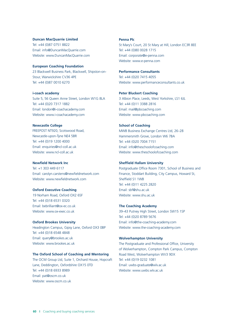#### **Duncan MacQuarrie Limited**

Tel: +44 (0)87 0751 8822 Email: info@DuncanMacQuarrie.com Website: www.DuncanMacQuarrie.com

#### **European Coaching Foundation**

23 Blackwell Business Park, Blackwell, Shipston-on-Stour, Warwickshire CV36 4PE Tel: +44 (0)87 0010 6270

#### **i-coach academy**

Suite 5, 56 Queen Anne Street, London W1G 8LA Tel: +44 (0)20 7317 1882 Email: london@i-coachacademy.com Website: www.i-coachacademy.com

#### **Newcastle College**

 FREEPOST NT920, Scotswood Road, Newcastle-upon-Tyne NE4 5BR Tel: +44 (0)19 1200 4000 Email: enquiries@ncl-coll.ac.uk Website: www.ncl-coll.ac.uk

#### **Newfield Network Inc**

Tel: +1 303 449 6117 Email: carolyn.carstens@newfieldnetwork.com Website: www.newfieldnetwork.com

#### **Oxford Executive Coaching**

19 Norham Road, Oxford OX2 6SF Tel: +44 (0)18 6531 0320 Email: bebrilliant@ox-ec.co.uk Website: www.ox-exec.co.uk

#### **Oxford Brookes University**

Headington Campus, Gipsy Lane, Oxford OX3 0BP Tel: +44 (0)18 6548 4848 Email: query@brookes.ac.uk Website: www.brookes.ac.uk

#### **The Oxford School of Coaching and Mentoring**

 The OCM Group Ltd, Suite 1, Orchard House, Hopcraft Lane, Deddington, Oxfordshire OX15 0TD Tel: +44 (0)18 6933 8989 Email: pat@oscm.co.uk Website: www.oscm.co.uk

#### **Penna Plc**

St Mary's Court, 20 St Mary at Hill, London EC3R 8EE Tel: +44 (0)80 0028 1715 Email: corporate@e-penna.com Website: www.e-penna.com

#### **Performance Consultants**

Tel: +44 (0)20 7415 4055 Website: www.performanceconsultants.co.uk

#### **Peter Bluckert Coaching**

3 Albion Place, Leeds, West Yorkshire, LS1 6JL Tel: +44 (0)11 3388 2816 Email: mail@pbcoaching.com Website: www.pbcoaching.com

#### **School of Coaching**

MWB Business Exchange Centres Ltd, 26–28 Hammersmith Grove, London W6 7BA Tel: +44 (0)20 7004 7151 Email: info@theschoolofcoaching.com Website: www.theschoolofcoaching.com

#### **Sheffield Hallam University**

 Finance, Stoddart Building, City Campus, Howard St, Postgraduate Office Room 7301, School of Business and Sheffield S1 1WB Tel: +44 (0)11 4225 2820 Email: sbf@shu.ac.uk Website: www.shu.ac.uk

#### **The Coaching Academy**

39–43 Putney High Street, London SW15 1SP Tel: +44 (0)20 8789 5676 Email: info@the-coaching-academy.com Website: www.the-coaching-academy.com

#### **Wolverhampton University**

 The Postgraduate and Professional Office, University of Wolverhampton, Compton Park Campus, Compton Road West, Wolverhampton WV3 9DX Tel: +44 (0)19 0232 1081 Email: uwbs-graduate@wlv.ac.uk Website: www.uwbs.wlv.ac.uk